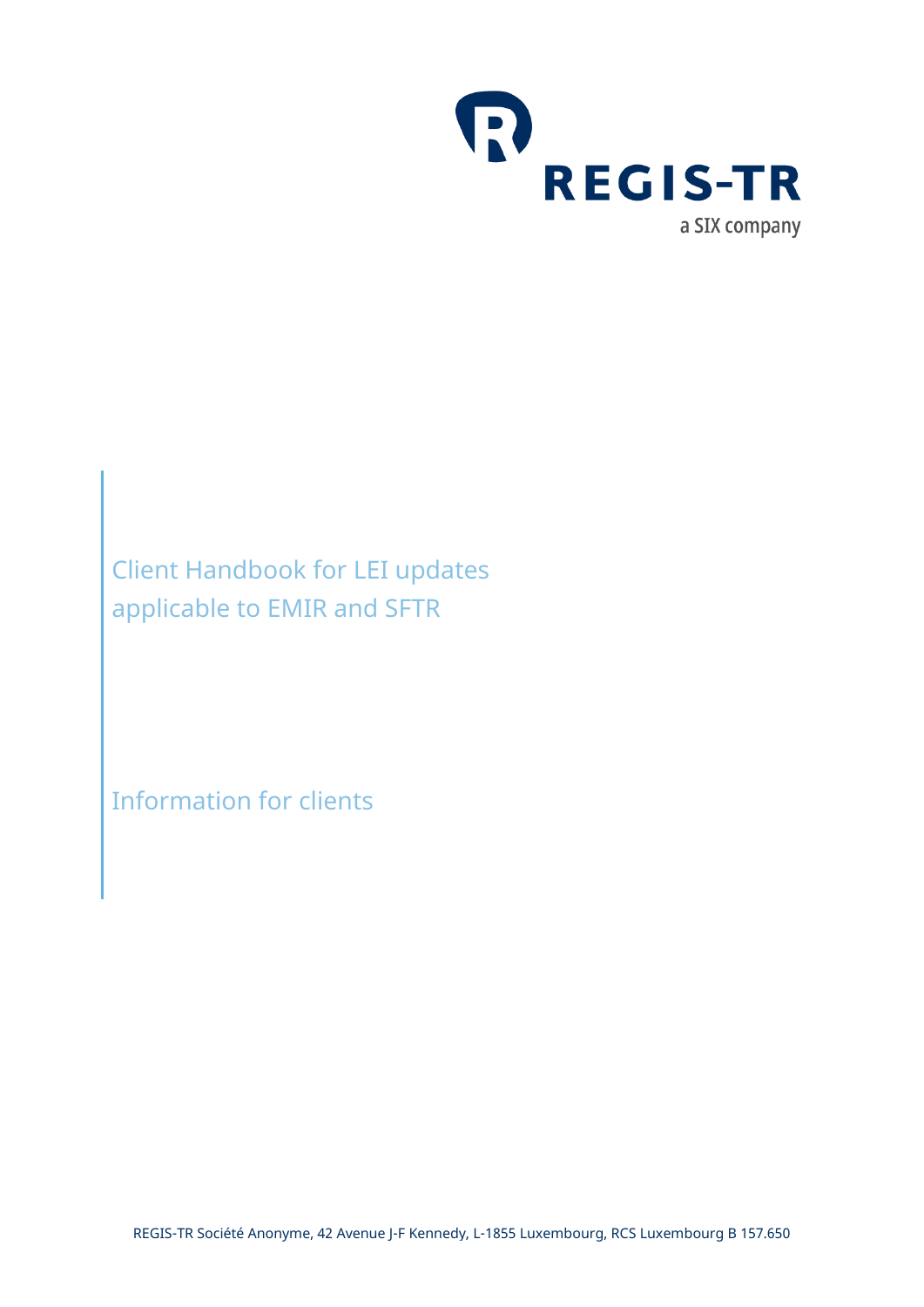

Client Handbook for LEI updates applicable to EMIR and SFTR

Information for clients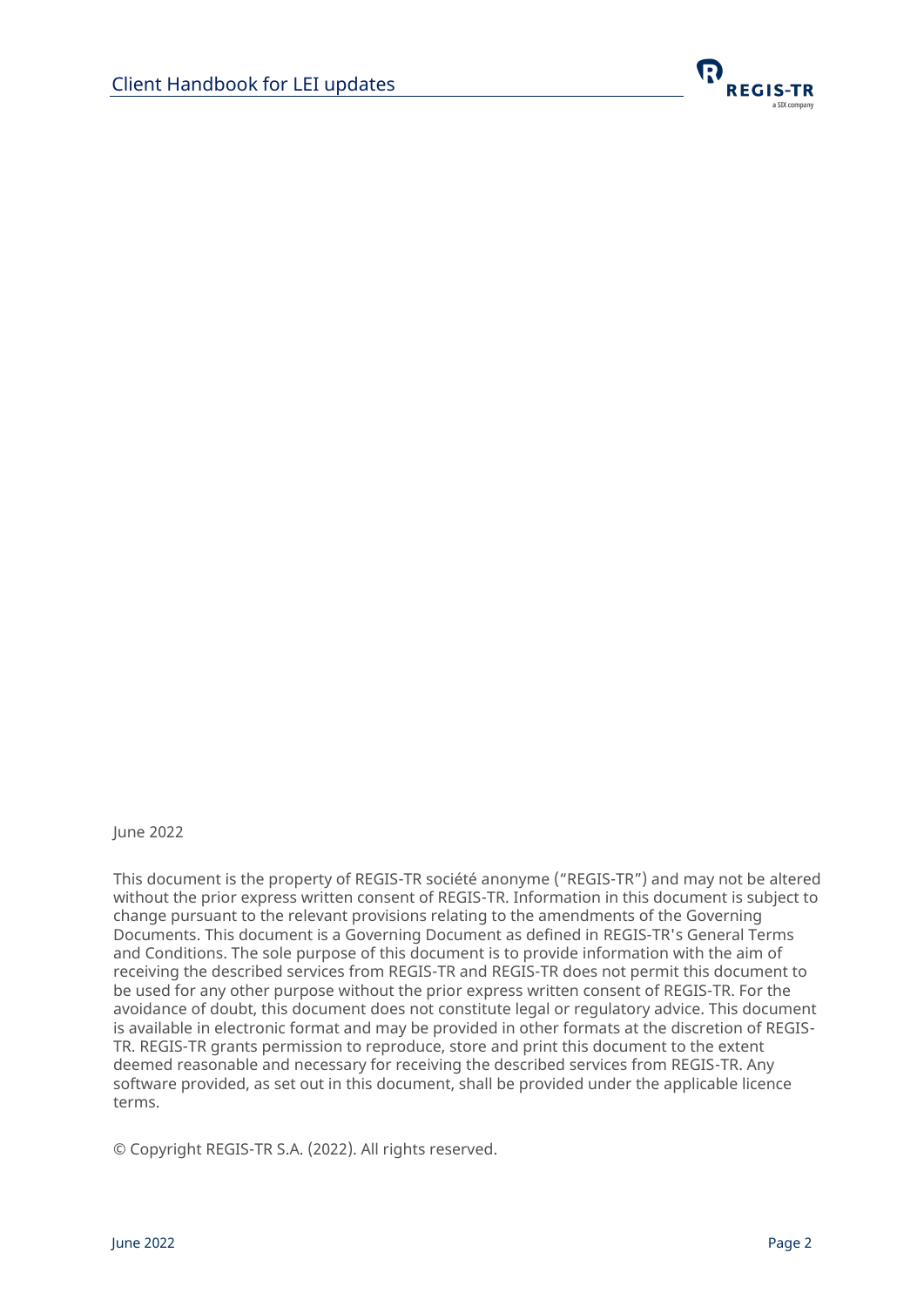

June 2022

This document is the property of REGIS-TR société anonyme ("REGIS-TR") and may not be altered without the prior express written consent of REGIS-TR. Information in this document is subject to change pursuant to the relevant provisions relating to the amendments of the Governing Documents. This document is a Governing Document as defined in REGIS-TR's General Terms and Conditions. The sole purpose of this document is to provide information with the aim of receiving the described services from REGIS-TR and REGIS-TR does not permit this document to be used for any other purpose without the prior express written consent of REGIS-TR. For the avoidance of doubt, this document does not constitute legal or regulatory advice. This document is available in electronic format and may be provided in other formats at the discretion of REGIS-TR. REGIS-TR grants permission to reproduce, store and print this document to the extent deemed reasonable and necessary for receiving the described services from REGIS-TR. Any software provided, as set out in this document, shall be provided under the applicable licence terms.

© Copyright REGIS-TR S.A. (2022). All rights reserved.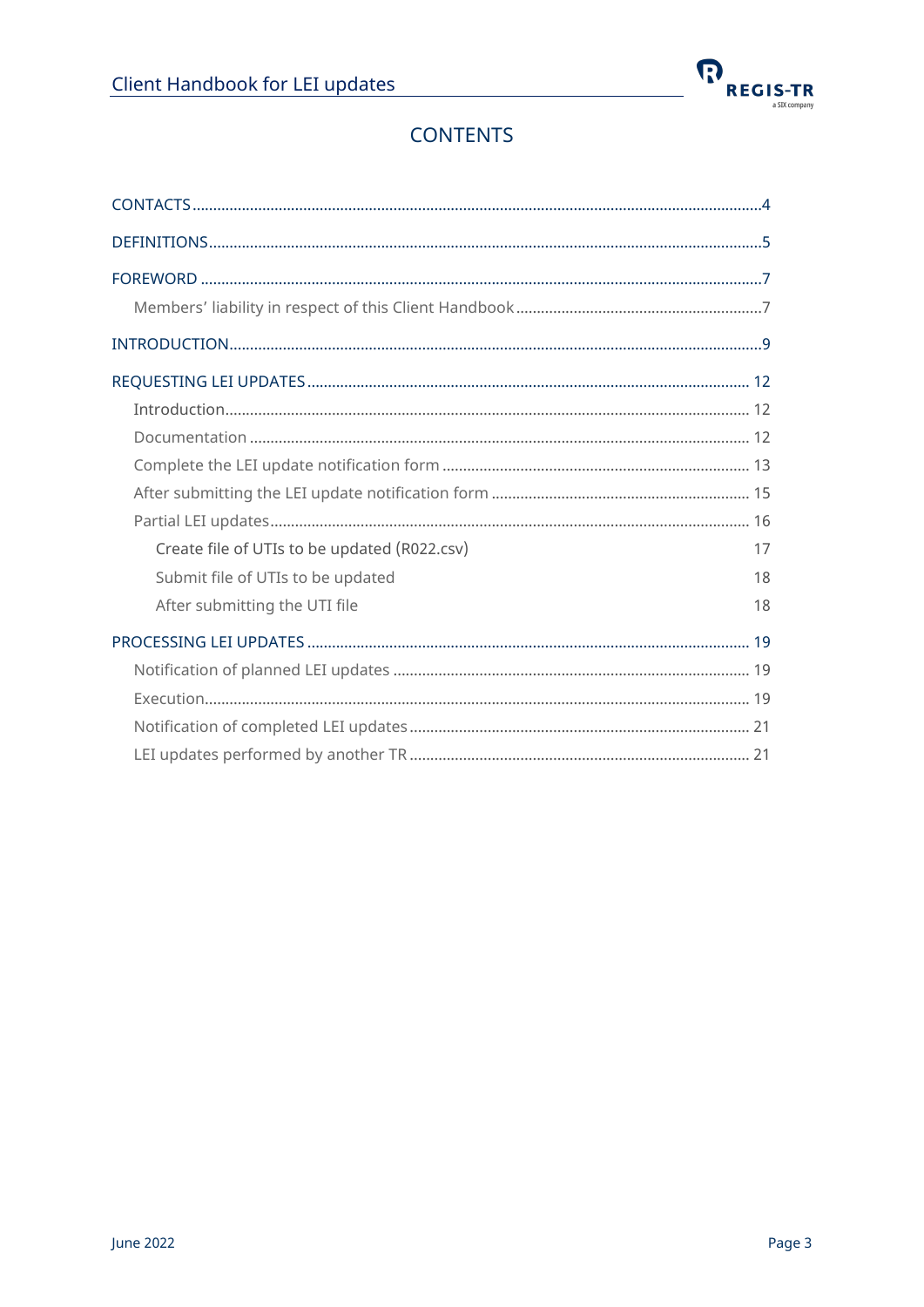

# **CONTENTS**

| Create file of UTIs to be updated (R022.csv) | 17 |
|----------------------------------------------|----|
| Submit file of UTIs to be updated            | 18 |
| After submitting the UTI file                | 18 |
|                                              |    |
|                                              |    |
|                                              |    |
|                                              |    |
|                                              |    |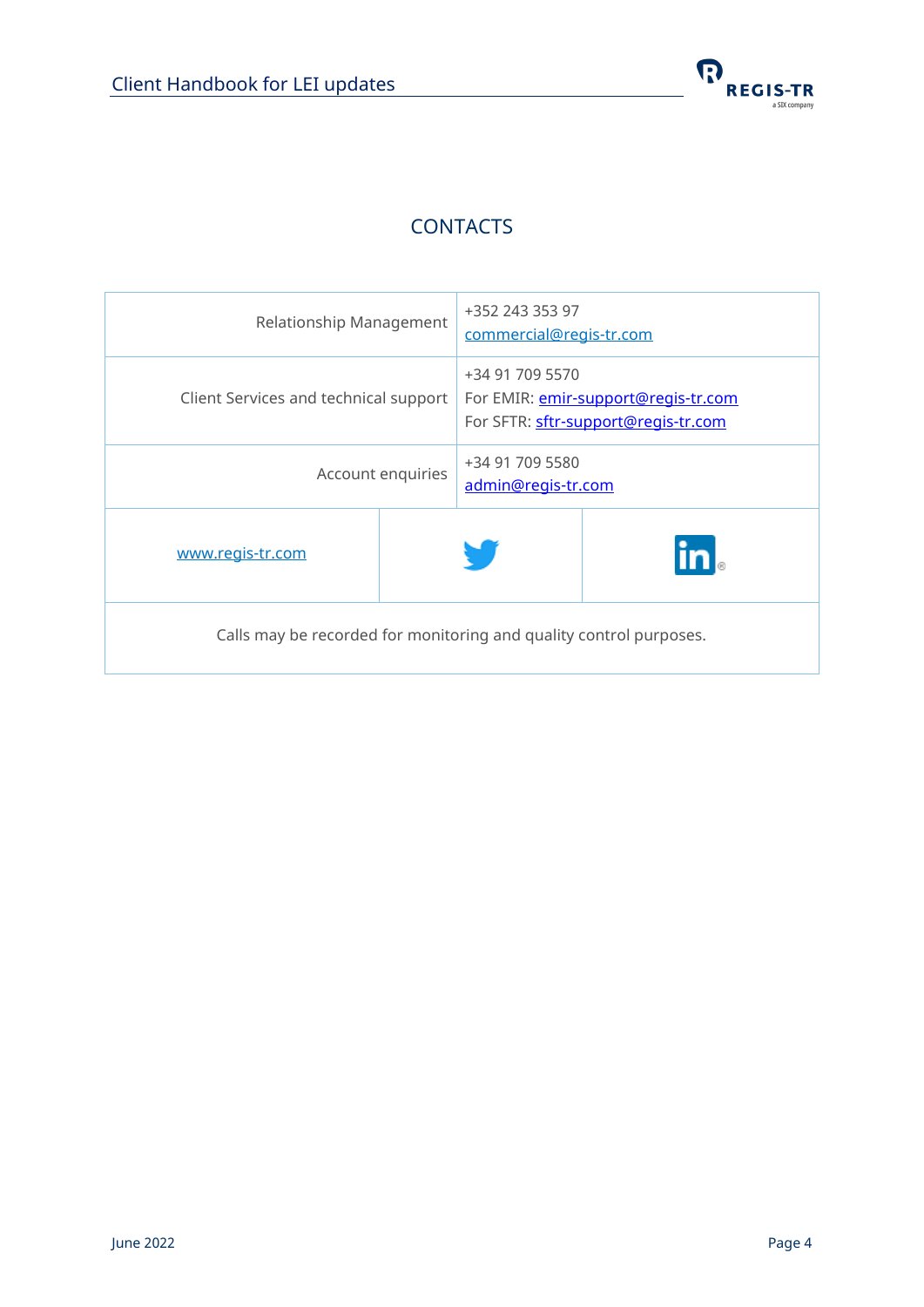

## **CONTACTS**

<span id="page-3-0"></span>

| Relationship Management                                            |  | +352 243 353 97<br>commercial@regis-tr.com |                                                                            |
|--------------------------------------------------------------------|--|--------------------------------------------|----------------------------------------------------------------------------|
| Client Services and technical support                              |  | +34 91 709 5570                            | For EMIR: emir-support@regis-tr.com<br>For SFTR: sftr-support@regis-tr.com |
| Account enquiries                                                  |  | +34 91 709 5580<br>admin@regis-tr.com      |                                                                            |
| www.regis-tr.com                                                   |  |                                            | $\mathsf{in}$                                                              |
| Calls may be recorded for monitoring and quality control purposes. |  |                                            |                                                                            |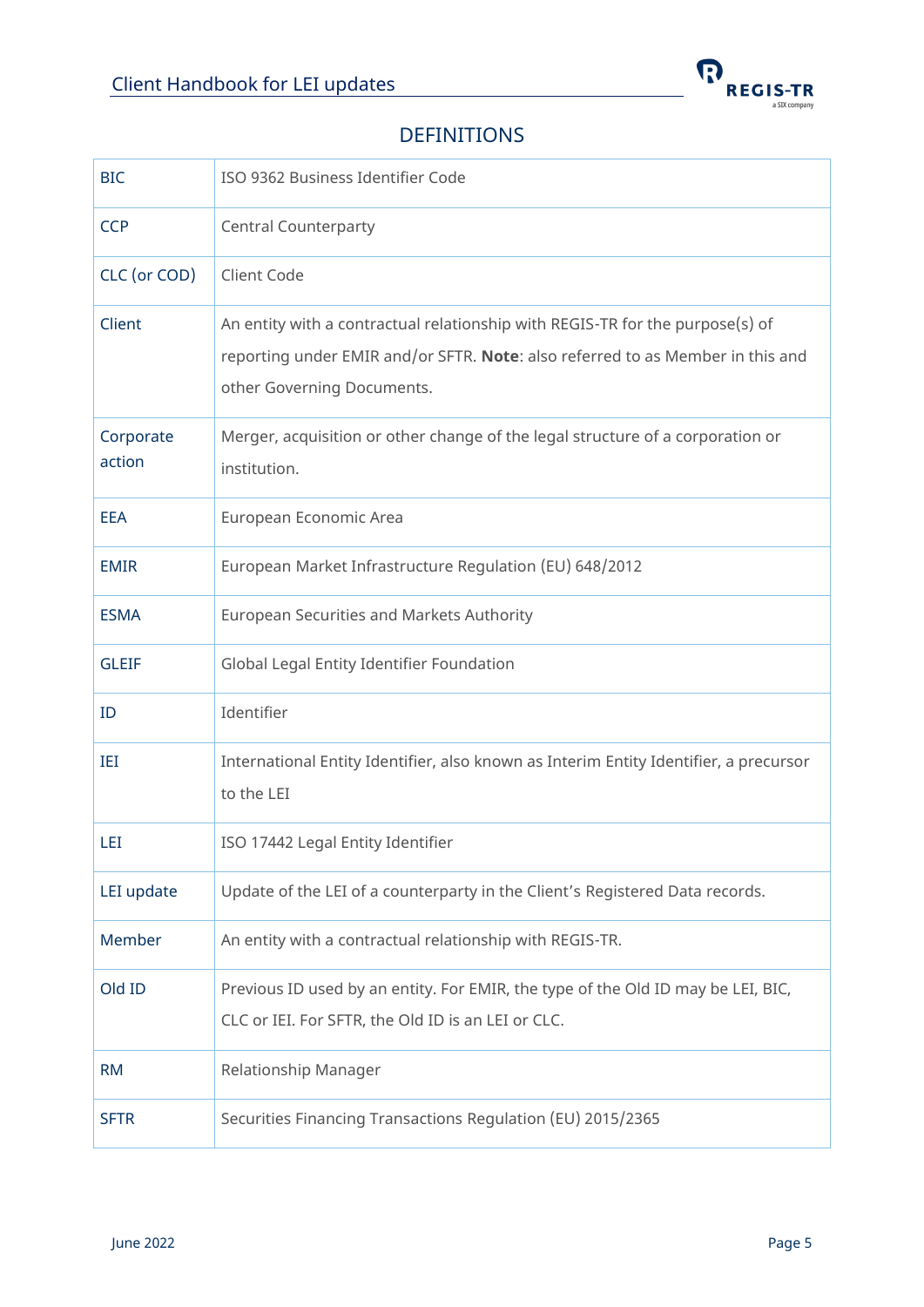

### DEFINITIONS

<span id="page-4-0"></span>

| <b>BIC</b>          | ISO 9362 Business Identifier Code                                                                                                                                                             |
|---------------------|-----------------------------------------------------------------------------------------------------------------------------------------------------------------------------------------------|
| <b>CCP</b>          | <b>Central Counterparty</b>                                                                                                                                                                   |
| CLC (or COD)        | Client Code                                                                                                                                                                                   |
| Client              | An entity with a contractual relationship with REGIS-TR for the purpose(s) of<br>reporting under EMIR and/or SFTR. Note: also referred to as Member in this and<br>other Governing Documents. |
| Corporate<br>action | Merger, acquisition or other change of the legal structure of a corporation or<br>institution.                                                                                                |
| <b>EEA</b>          | European Economic Area                                                                                                                                                                        |
| <b>EMIR</b>         | European Market Infrastructure Regulation (EU) 648/2012                                                                                                                                       |
| <b>ESMA</b>         | European Securities and Markets Authority                                                                                                                                                     |
| <b>GLEIF</b>        | Global Legal Entity Identifier Foundation                                                                                                                                                     |
| ID                  | Identifier                                                                                                                                                                                    |
| IEI                 | International Entity Identifier, also known as Interim Entity Identifier, a precursor<br>to the LEI                                                                                           |
| LEI                 | ISO 17442 Legal Entity Identifier                                                                                                                                                             |
| LEI update          | Update of the LEI of a counterparty in the Client's Registered Data records.                                                                                                                  |
| Member              | An entity with a contractual relationship with REGIS-TR.                                                                                                                                      |
| Old ID              | Previous ID used by an entity. For EMIR, the type of the Old ID may be LEI, BIC,<br>CLC or IEI. For SFTR, the Old ID is an LEI or CLC.                                                        |
| <b>RM</b>           | Relationship Manager                                                                                                                                                                          |
| <b>SFTR</b>         | Securities Financing Transactions Regulation (EU) 2015/2365                                                                                                                                   |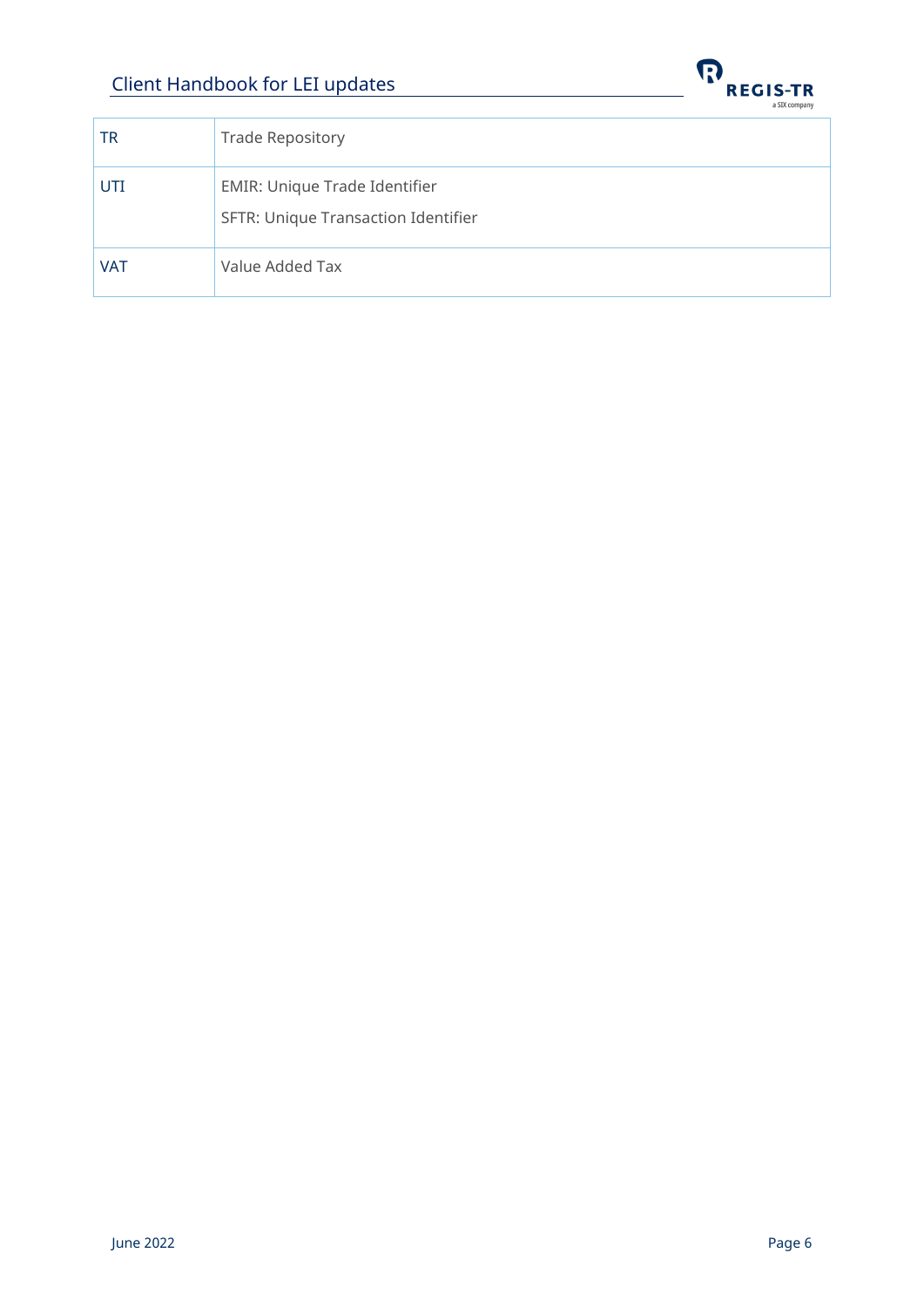

| TR         | <b>Trade Repository</b>                                                     |
|------------|-----------------------------------------------------------------------------|
| UTI        | <b>EMIR: Unique Trade Identifier</b><br>SFTR: Unique Transaction Identifier |
| <b>VAT</b> | Value Added Tax                                                             |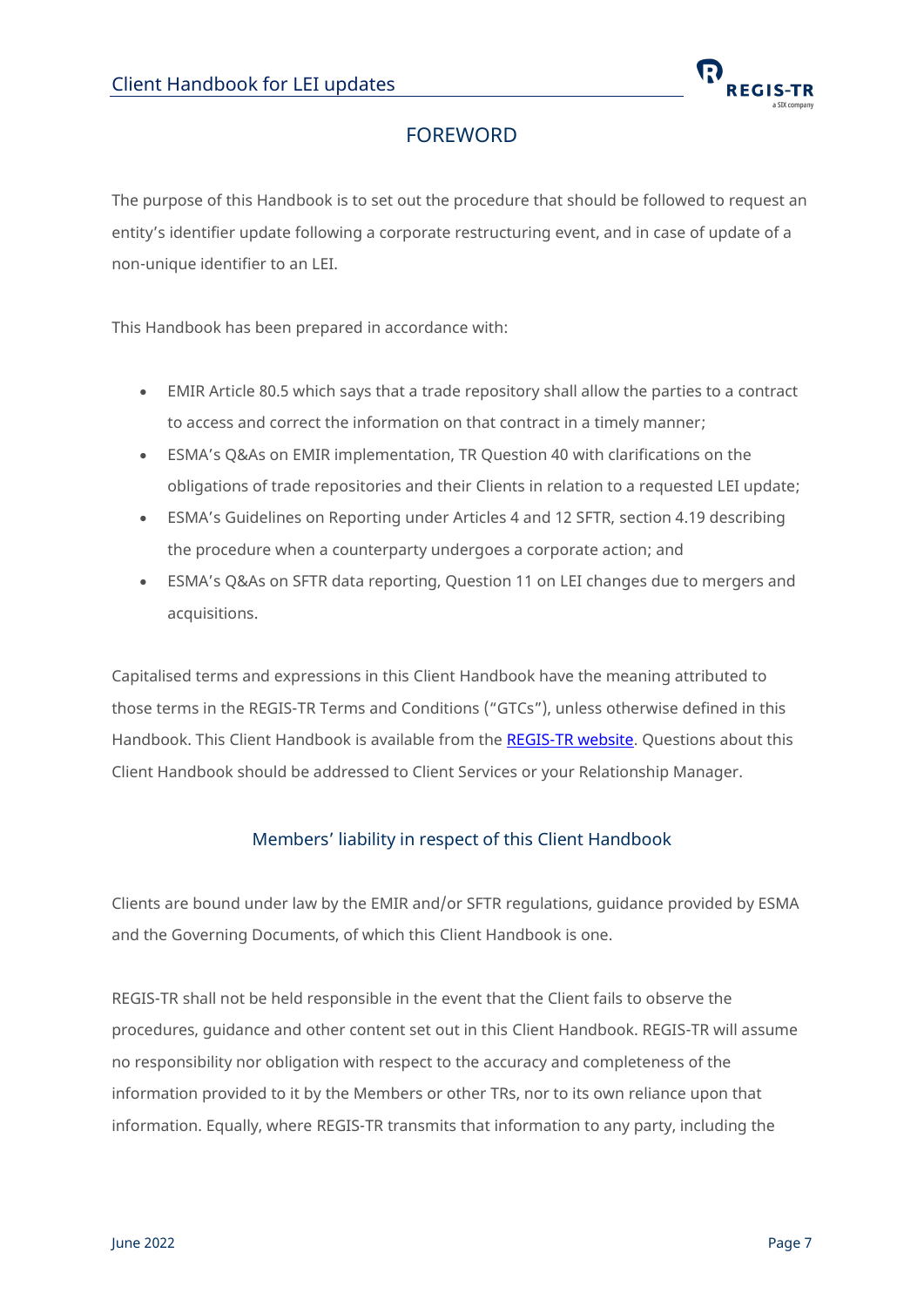

### FOREWORD

<span id="page-6-0"></span>The purpose of this Handbook is to set out the procedure that should be followed to request an entity's identifier update following a corporate restructuring event, and in case of update of a non-unique identifier to an LEI.

This Handbook has been prepared in accordance with:

- EMIR Article 80.5 which says that a trade repository shall allow the parties to a contract to access and correct the information on that contract in a timely manner;
- ESMA's Q&As on EMIR implementation, TR Question 40 with clarifications on the obligations of trade repositories and their Clients in relation to a requested LEI update;
- ESMA's Guidelines on Reporting under Articles 4 and 12 SFTR, section 4.19 describing the procedure when a counterparty undergoes a corporate action; and
- ESMA's Q&As on SFTR data reporting, Question 11 on LEI changes due to mergers and acquisitions.

Capitalised terms and expressions in this Client Handbook have the meaning attributed to those terms in the REGIS-TR Terms and Conditions ("GTCs"), unless otherwise defined in this Handbook. This Client Handbook is available from the [REGIS-TR](https://www.regis-tr.com/regis-tr/key-documents/regis-tr-s-a-/handbooks) website. Questions about this Client Handbook should be addressed to Client Services or your Relationship Manager.

#### Members' liability in respect of this Client Handbook

<span id="page-6-1"></span>Clients are bound under law by the EMIR and/or SFTR regulations, guidance provided by ESMA and the Governing Documents, of which this Client Handbook is one.

REGIS-TR shall not be held responsible in the event that the Client fails to observe the procedures, guidance and other content set out in this Client Handbook. REGIS-TR will assume no responsibility nor obligation with respect to the accuracy and completeness of the information provided to it by the Members or other TRs, nor to its own reliance upon that information. Equally, where REGIS-TR transmits that information to any party, including the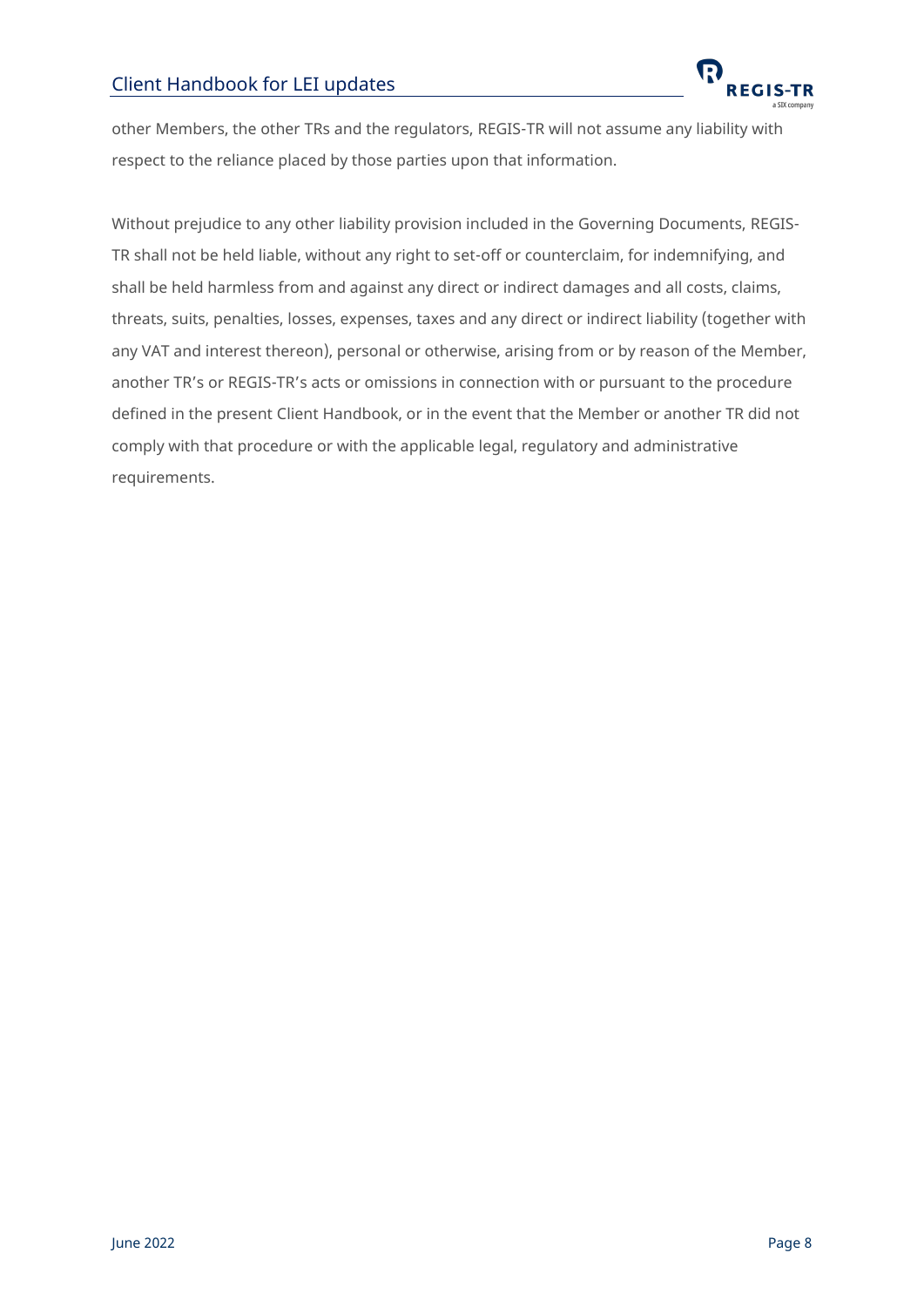

other Members, the other TRs and the regulators, REGIS-TR will not assume any liability with respect to the reliance placed by those parties upon that information.

Without prejudice to any other liability provision included in the Governing Documents, REGIS-TR shall not be held liable, without any right to set-off or counterclaim, for indemnifying, and shall be held harmless from and against any direct or indirect damages and all costs, claims, threats, suits, penalties, losses, expenses, taxes and any direct or indirect liability (together with any VAT and interest thereon), personal or otherwise, arising from or by reason of the Member, another TR's or REGIS-TR's acts or omissions in connection with or pursuant to the procedure defined in the present Client Handbook, or in the event that the Member or another TR did not comply with that procedure or with the applicable legal, regulatory and administrative requirements.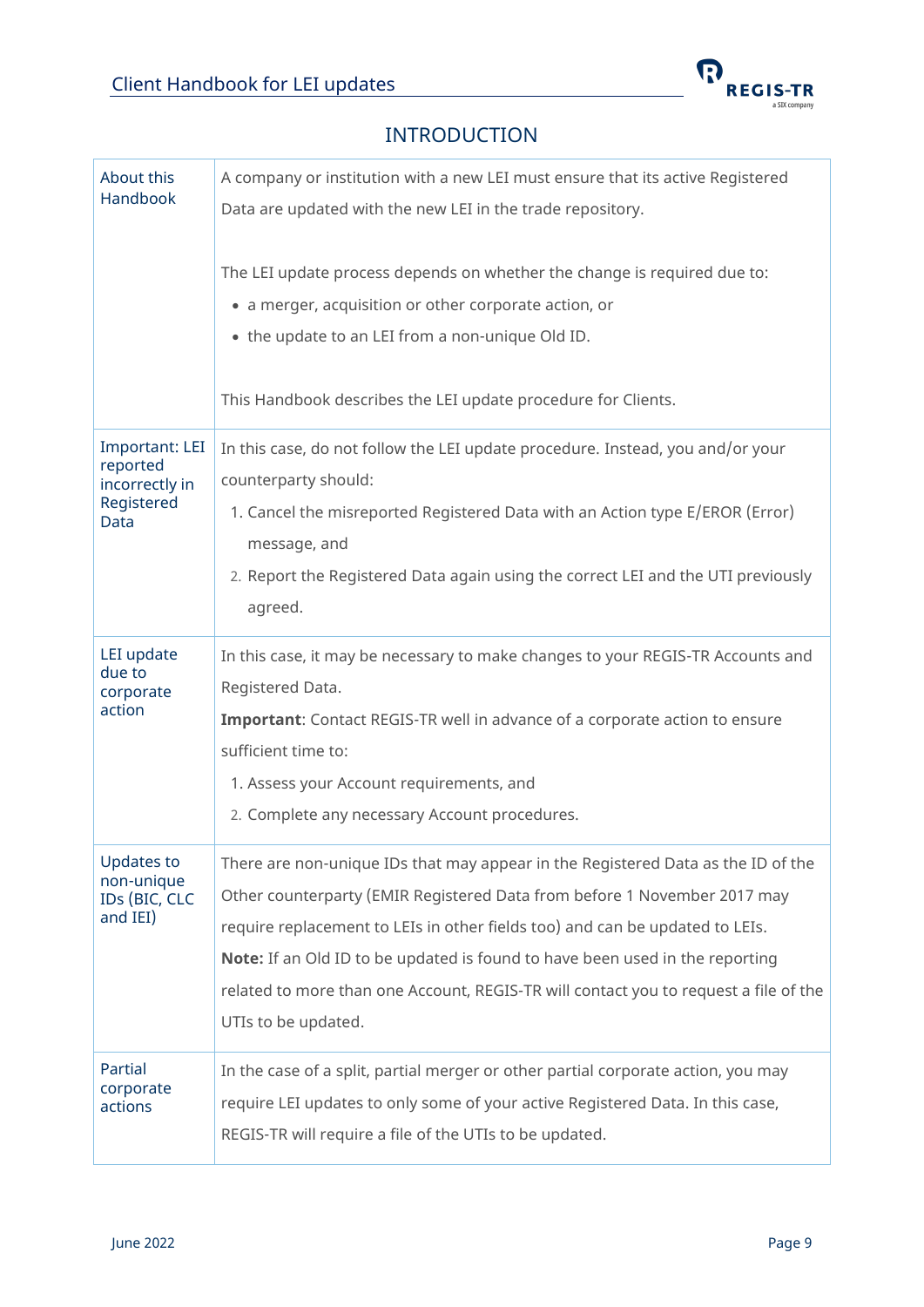

### INTRODUCTION

<span id="page-8-0"></span>

| About this<br>Handbook                                                    | A company or institution with a new LEI must ensure that its active Registered<br>Data are updated with the new LEI in the trade repository.<br>The LEI update process depends on whether the change is required due to:<br>• a merger, acquisition or other corporate action, or<br>• the update to an LEI from a non-unique Old ID.<br>This Handbook describes the LEI update procedure for Clients.                                             |
|---------------------------------------------------------------------------|----------------------------------------------------------------------------------------------------------------------------------------------------------------------------------------------------------------------------------------------------------------------------------------------------------------------------------------------------------------------------------------------------------------------------------------------------|
| <b>Important: LEI</b><br>reported<br>incorrectly in<br>Registered<br>Data | In this case, do not follow the LEI update procedure. Instead, you and/or your<br>counterparty should:<br>1. Cancel the misreported Registered Data with an Action type E/EROR (Error)<br>message, and<br>2. Report the Registered Data again using the correct LEI and the UTI previously<br>agreed.                                                                                                                                              |
| LEI update<br>due to<br>corporate<br>action                               | In this case, it may be necessary to make changes to your REGIS-TR Accounts and<br>Registered Data.<br>Important: Contact REGIS-TR well in advance of a corporate action to ensure<br>sufficient time to:<br>1. Assess your Account requirements, and<br>2. Complete any necessary Account procedures.                                                                                                                                             |
| <b>Updates to</b><br>non-unique<br>IDs (BIC, CLC<br>and IEI)              | There are non-unique IDs that may appear in the Registered Data as the ID of the<br>Other counterparty (EMIR Registered Data from before 1 November 2017 may<br>require replacement to LEIs in other fields too) and can be updated to LEIs.<br><b>Note:</b> If an Old ID to be updated is found to have been used in the reporting<br>related to more than one Account, REGIS-TR will contact you to request a file of the<br>UTIs to be updated. |
| Partial<br>corporate<br>actions                                           | In the case of a split, partial merger or other partial corporate action, you may<br>require LEI updates to only some of your active Registered Data. In this case,<br>REGIS-TR will require a file of the UTIs to be updated.                                                                                                                                                                                                                     |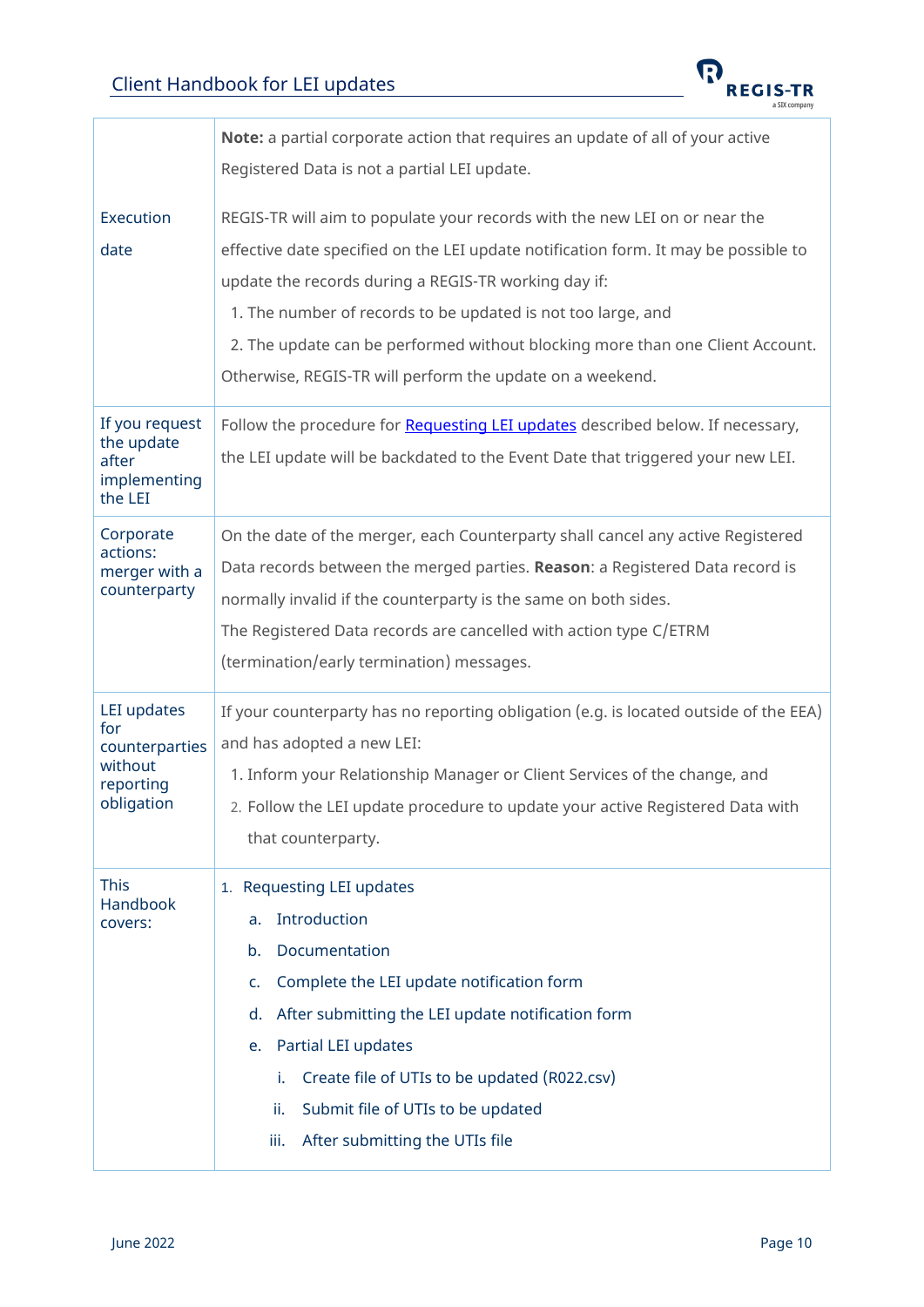

<span id="page-9-0"></span>

|                                                                            | Note: a partial corporate action that requires an update of all of your active                                                                                                                                                                                                                                                                                                                                                          |
|----------------------------------------------------------------------------|-----------------------------------------------------------------------------------------------------------------------------------------------------------------------------------------------------------------------------------------------------------------------------------------------------------------------------------------------------------------------------------------------------------------------------------------|
|                                                                            | Registered Data is not a partial LEI update.                                                                                                                                                                                                                                                                                                                                                                                            |
| Execution<br>date                                                          | REGIS-TR will aim to populate your records with the new LEI on or near the<br>effective date specified on the LEI update notification form. It may be possible to<br>update the records during a REGIS-TR working day if:<br>1. The number of records to be updated is not too large, and<br>2. The update can be performed without blocking more than one Client Account.<br>Otherwise, REGIS-TR will perform the update on a weekend. |
| If you request<br>the update<br>after<br>implementing<br>the LEI           | Follow the procedure for Requesting LEI updates described below. If necessary,<br>the LEI update will be backdated to the Event Date that triggered your new LEI.                                                                                                                                                                                                                                                                       |
| Corporate<br>actions:<br>merger with a<br>counterparty                     | On the date of the merger, each Counterparty shall cancel any active Registered<br>Data records between the merged parties. Reason: a Registered Data record is<br>normally invalid if the counterparty is the same on both sides.<br>The Registered Data records are cancelled with action type C/ETRM<br>(termination/early termination) messages.                                                                                    |
| LEI updates<br>for<br>counterparties<br>without<br>reporting<br>obligation | If your counterparty has no reporting obligation (e.g. is located outside of the EEA)<br>and has adopted a new LEI:<br>1. Inform your Relationship Manager or Client Services of the change, and<br>2. Follow the LEI update procedure to update your active Registered Data with<br>that counterparty.                                                                                                                                 |
| <b>This</b><br>Handbook<br>covers:                                         | 1. Requesting LEI updates<br>Introduction<br>a.<br>Documentation<br>b.<br>Complete the LEI update notification form<br>c.<br>After submitting the LEI update notification form<br>d.<br>Partial LEI updates<br>e.<br>i.<br>Create file of UTIs to be updated (R022.csv)<br>Submit file of UTIs to be updated<br>ii.<br>After submitting the UTIs file<br>iii.                                                                           |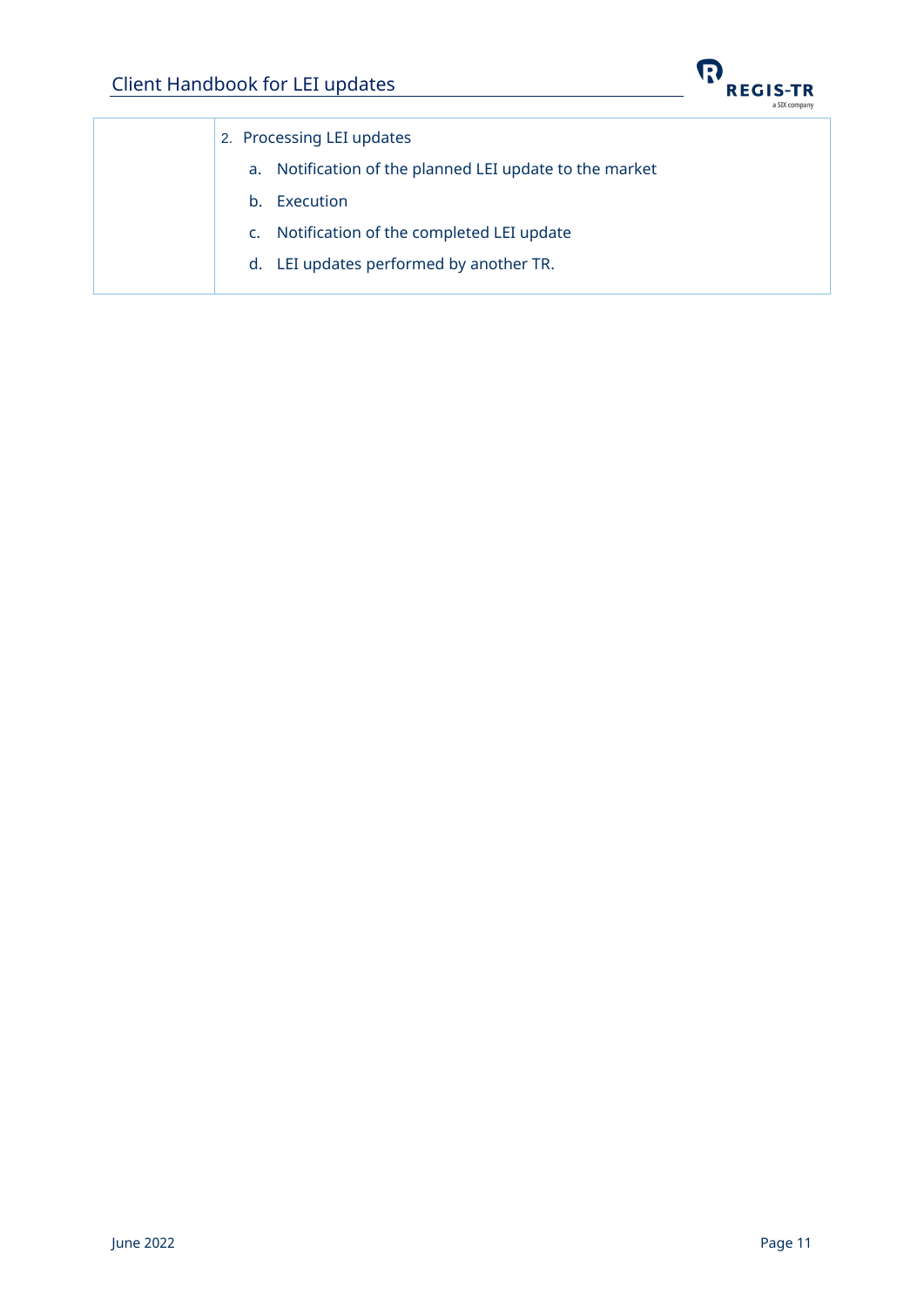

| 2. Processing LEI updates                               |
|---------------------------------------------------------|
| a. Notification of the planned LEI update to the market |
| Execution<br>$h_{\cdot}$                                |
| Notification of the completed LEI update<br>$C_{\star}$ |
| d. LEI updates performed by another TR.                 |
|                                                         |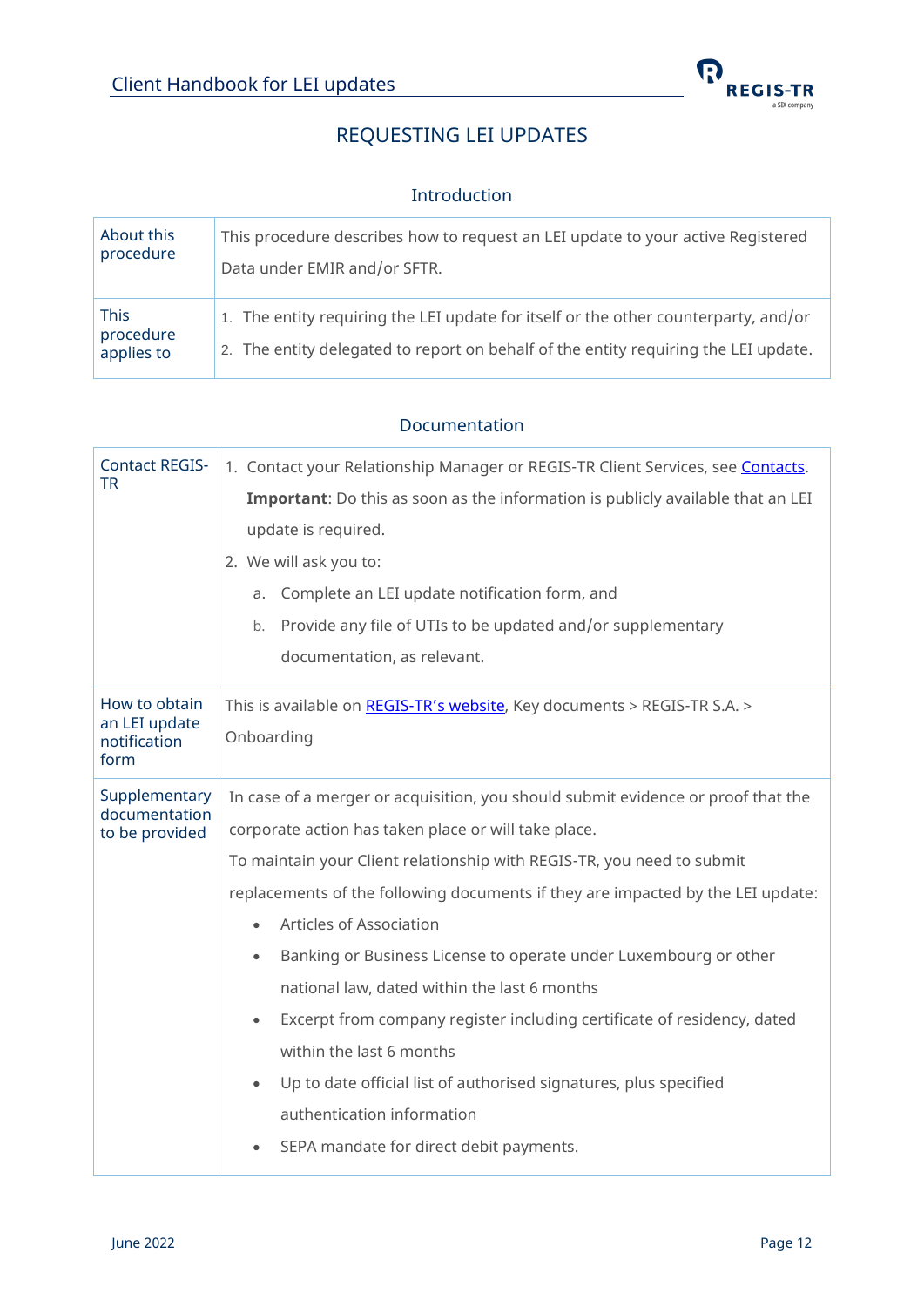

# REQUESTING LEI UPDATES

#### Introduction

<span id="page-11-1"></span><span id="page-11-0"></span>

| About this                             | This procedure describes how to request an LEI update to your active Registered                                                                                            |
|----------------------------------------|----------------------------------------------------------------------------------------------------------------------------------------------------------------------------|
| procedure                              | Data under EMIR and/or SFTR.                                                                                                                                               |
| <b>This</b><br>procedure<br>applies to | 1. The entity requiring the LEI update for itself or the other counterparty, and/or<br>2. The entity delegated to report on behalf of the entity requiring the LEI update. |

#### Documentation

<span id="page-11-2"></span>

| <b>Contact REGIS-</b><br><b>TR</b>                     | 1. Contact your Relationship Manager or REGIS-TR Client Services, see Contacts.<br>Important: Do this as soon as the information is publicly available that an LEI<br>update is required.<br>2. We will ask you to:<br>Complete an LEI update notification form, and<br>a.<br>Provide any file of UTIs to be updated and/or supplementary<br>b.<br>documentation, as relevant.                                                                                                                                                                                                                                                                                                                                                      |
|--------------------------------------------------------|-------------------------------------------------------------------------------------------------------------------------------------------------------------------------------------------------------------------------------------------------------------------------------------------------------------------------------------------------------------------------------------------------------------------------------------------------------------------------------------------------------------------------------------------------------------------------------------------------------------------------------------------------------------------------------------------------------------------------------------|
| How to obtain<br>an LEI update<br>notification<br>form | This is available on REGIS-TR's website, Key documents > REGIS-TR S.A. ><br>Onboarding                                                                                                                                                                                                                                                                                                                                                                                                                                                                                                                                                                                                                                              |
| Supplementary<br>documentation<br>to be provided       | In case of a merger or acquisition, you should submit evidence or proof that the<br>corporate action has taken place or will take place.<br>To maintain your Client relationship with REGIS-TR, you need to submit<br>replacements of the following documents if they are impacted by the LEI update:<br>Articles of Association<br>Banking or Business License to operate under Luxembourg or other<br>$\bullet$<br>national law, dated within the last 6 months<br>Excerpt from company register including certificate of residency, dated<br>within the last 6 months<br>Up to date official list of authorised signatures, plus specified<br>$\bullet$<br>authentication information<br>SEPA mandate for direct debit payments. |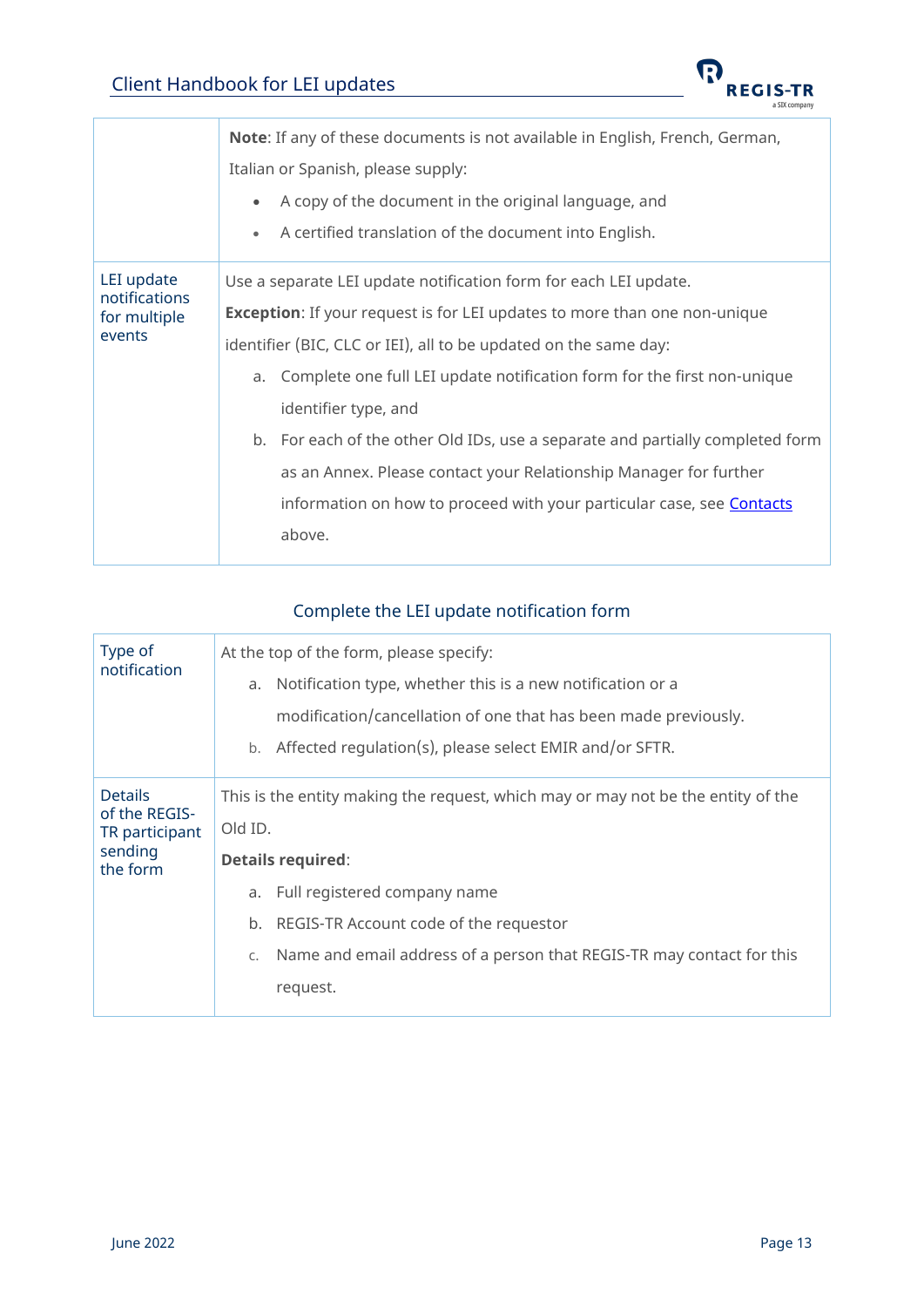

<span id="page-12-1"></span>

|                                                       | <b>Note:</b> If any of these documents is not available in English, French, German,<br>Italian or Spanish, please supply:<br>A copy of the document in the original language, and<br>$\bullet$ |
|-------------------------------------------------------|------------------------------------------------------------------------------------------------------------------------------------------------------------------------------------------------|
|                                                       | A certified translation of the document into English.<br>$\bullet$                                                                                                                             |
| LEI update<br>notifications<br>for multiple<br>events | Use a separate LEI update notification form for each LEI update.                                                                                                                               |
|                                                       | <b>Exception:</b> If your request is for LEI updates to more than one non-unique                                                                                                               |
|                                                       | identifier (BIC, CLC or IEI), all to be updated on the same day:                                                                                                                               |
|                                                       | Complete one full LEI update notification form for the first non-unique<br>a.                                                                                                                  |
|                                                       | identifier type, and                                                                                                                                                                           |
|                                                       | b. For each of the other Old IDs, use a separate and partially completed form                                                                                                                  |
|                                                       | as an Annex. Please contact your Relationship Manager for further                                                                                                                              |
|                                                       | information on how to proceed with your particular case, see <b>Contacts</b>                                                                                                                   |
|                                                       | above.                                                                                                                                                                                         |

# Complete the LEI update notification form

<span id="page-12-0"></span>

| Type of<br>notification                                                  | At the top of the form, please specify:<br>Notification type, whether this is a new notification or a<br>a.<br>modification/cancellation of one that has been made previously.<br>Affected regulation(s), please select EMIR and/or SFTR.<br>b.                                              |
|--------------------------------------------------------------------------|----------------------------------------------------------------------------------------------------------------------------------------------------------------------------------------------------------------------------------------------------------------------------------------------|
| <b>Details</b><br>of the REGIS-<br>TR participant<br>sending<br>the form | This is the entity making the request, which may or may not be the entity of the<br>Old ID.<br><b>Details required:</b><br>Full registered company name<br>a.<br>REGIS-TR Account code of the requestor<br>b.<br>Name and email address of a person that REGIS-TR may contact for this<br>C. |
|                                                                          | request.                                                                                                                                                                                                                                                                                     |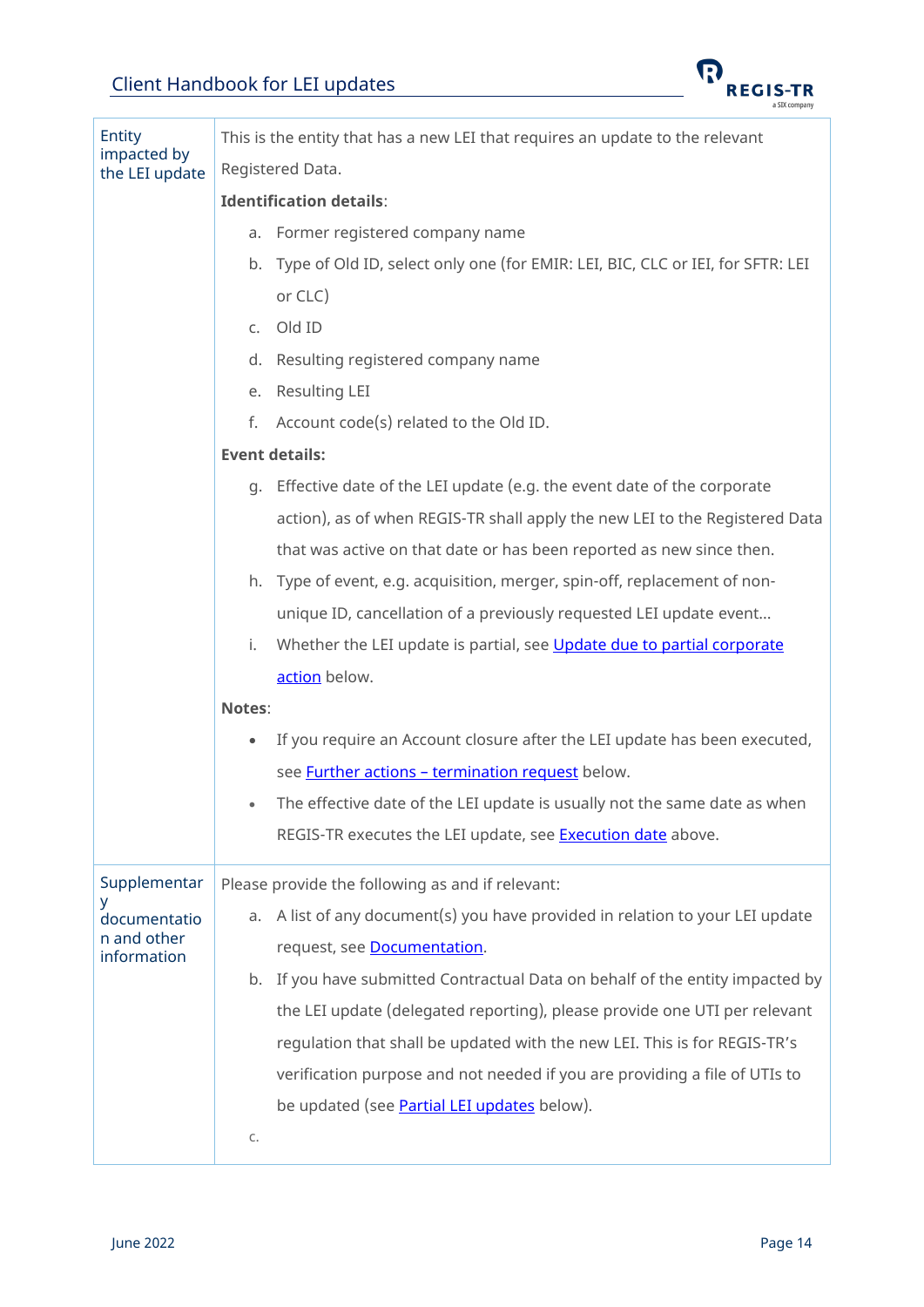

| Entity                        | This is the entity that has a new LEI that requires an update to the relevant          |
|-------------------------------|----------------------------------------------------------------------------------------|
| impacted by<br>the LEI update | Registered Data.                                                                       |
|                               | <b>Identification details:</b>                                                         |
|                               | a. Former registered company name                                                      |
|                               | b. Type of Old ID, select only one (for EMIR: LEI, BIC, CLC or IEI, for SFTR: LEI      |
|                               | or CLC)                                                                                |
|                               | Old ID<br>C.                                                                           |
|                               | Resulting registered company name<br>d.                                                |
|                               | Resulting LEI<br>е.                                                                    |
|                               | f.<br>Account code(s) related to the Old ID.                                           |
|                               | <b>Event details:</b>                                                                  |
|                               | Effective date of the LEI update (e.g. the event date of the corporate<br>q.           |
|                               | action), as of when REGIS-TR shall apply the new LEI to the Registered Data            |
|                               | that was active on that date or has been reported as new since then.                   |
|                               | h. Type of event, e.g. acquisition, merger, spin-off, replacement of non-              |
|                               | unique ID, cancellation of a previously requested LEI update event                     |
|                               | Whether the LEI update is partial, see Update due to partial corporate<br>i.           |
|                               | action below.                                                                          |
|                               | Notes:                                                                                 |
|                               | If you require an Account closure after the LEI update has been executed,<br>$\bullet$ |
|                               | see <b>Further actions - termination request</b> below.                                |
|                               | The effective date of the LEI update is usually not the same date as when<br>$\bullet$ |
|                               | REGIS-TR executes the LEI update, see <b>Execution date</b> above.                     |
| Supplementar                  | Please provide the following as and if relevant:                                       |
| У<br>documentatio             | A list of any document(s) you have provided in relation to your LEI update<br>a.       |
| n and other<br>information    | request, see <b>Documentation</b> .                                                    |
|                               | b. If you have submitted Contractual Data on behalf of the entity impacted by          |
|                               | the LEI update (delegated reporting), please provide one UTI per relevant              |
|                               | regulation that shall be updated with the new LEI. This is for REGIS-TR's              |
|                               | verification purpose and not needed if you are providing a file of UTIs to             |
|                               | be updated (see <b>Partial LEI updates</b> below).                                     |
|                               | C.                                                                                     |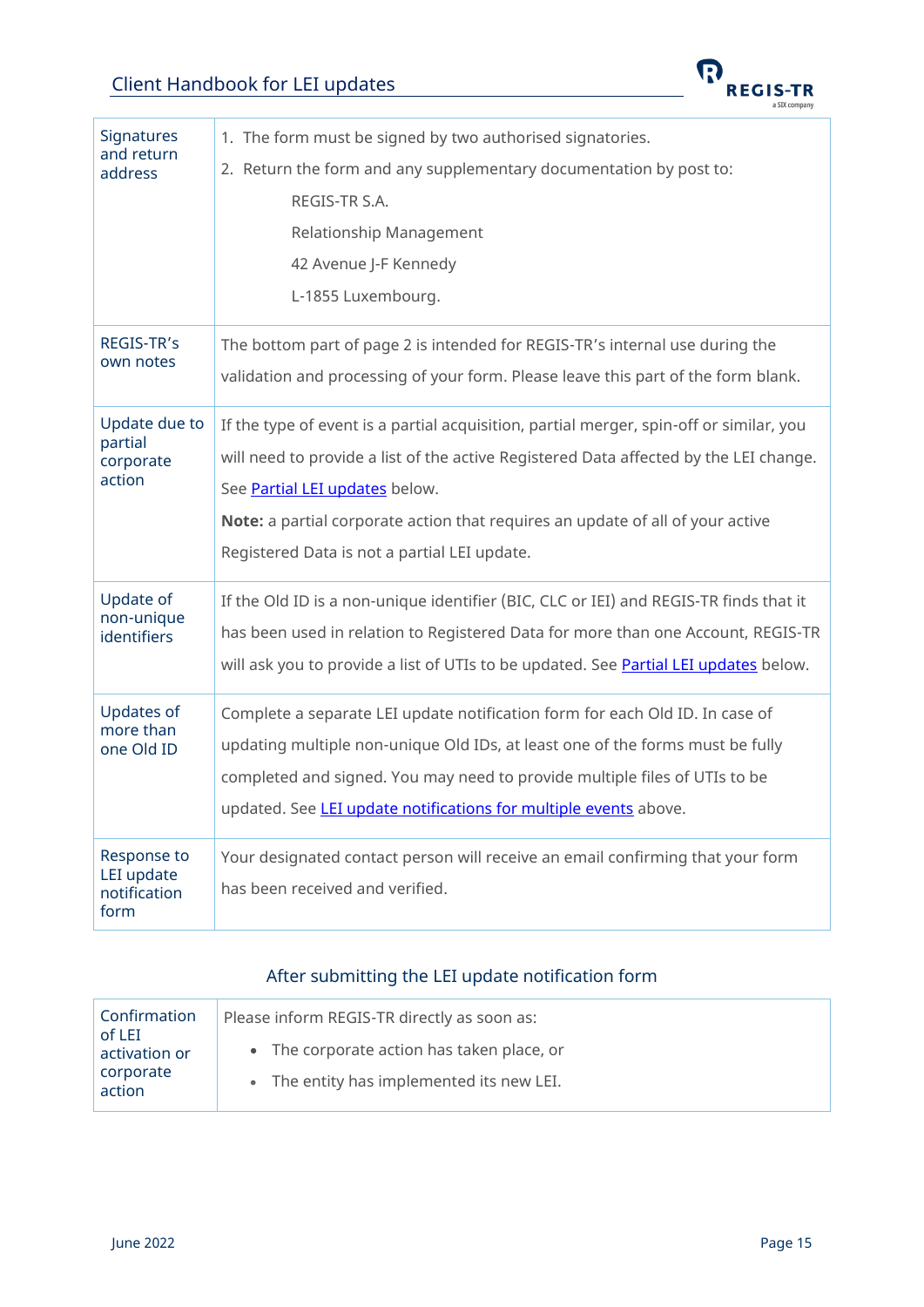<span id="page-14-2"></span><span id="page-14-1"></span>

| Signatures<br>and return<br>address               | 1. The form must be signed by two authorised signatories.<br>2. Return the form and any supplementary documentation by post to:<br>REGIS-TR S.A.<br>Relationship Management<br>42 Avenue J-F Kennedy<br>L-1855 Luxembourg.                                                                                                                           |
|---------------------------------------------------|------------------------------------------------------------------------------------------------------------------------------------------------------------------------------------------------------------------------------------------------------------------------------------------------------------------------------------------------------|
| REGIS-TR's<br>own notes                           | The bottom part of page 2 is intended for REGIS-TR's internal use during the<br>validation and processing of your form. Please leave this part of the form blank.                                                                                                                                                                                    |
| Update due to<br>partial<br>corporate<br>action   | If the type of event is a partial acquisition, partial merger, spin-off or similar, you<br>will need to provide a list of the active Registered Data affected by the LEI change.<br>See Partial LEI updates below.<br>Note: a partial corporate action that requires an update of all of your active<br>Registered Data is not a partial LEI update. |
| Update of<br>non-unique<br>identifiers            | If the Old ID is a non-unique identifier (BIC, CLC or IEI) and REGIS-TR finds that it<br>has been used in relation to Registered Data for more than one Account, REGIS-TR<br>will ask you to provide a list of UTIs to be updated. See Partial LEI updates below.                                                                                    |
| <b>Updates of</b><br>more than<br>one Old ID      | Complete a separate LEI update notification form for each Old ID. In case of<br>updating multiple non-unique Old IDs, at least one of the forms must be fully<br>completed and signed. You may need to provide multiple files of UTIs to be<br>updated. See LEI update notifications for multiple events above.                                      |
| Response to<br>LEI update<br>notification<br>form | Your designated contact person will receive an email confirming that your form<br>has been received and verified.                                                                                                                                                                                                                                    |

### After submitting the LEI update notification form

<span id="page-14-0"></span>

| Confirmation<br>of LEI | Please inform REGIS-TR directly as soon as: |
|------------------------|---------------------------------------------|
| activation or          | • The corporate action has taken place, or  |
| corporate<br>action    | • The entity has implemented its new LEI.   |

 $\boldsymbol{\Omega}$ 

**REGIS-TR** a SIX company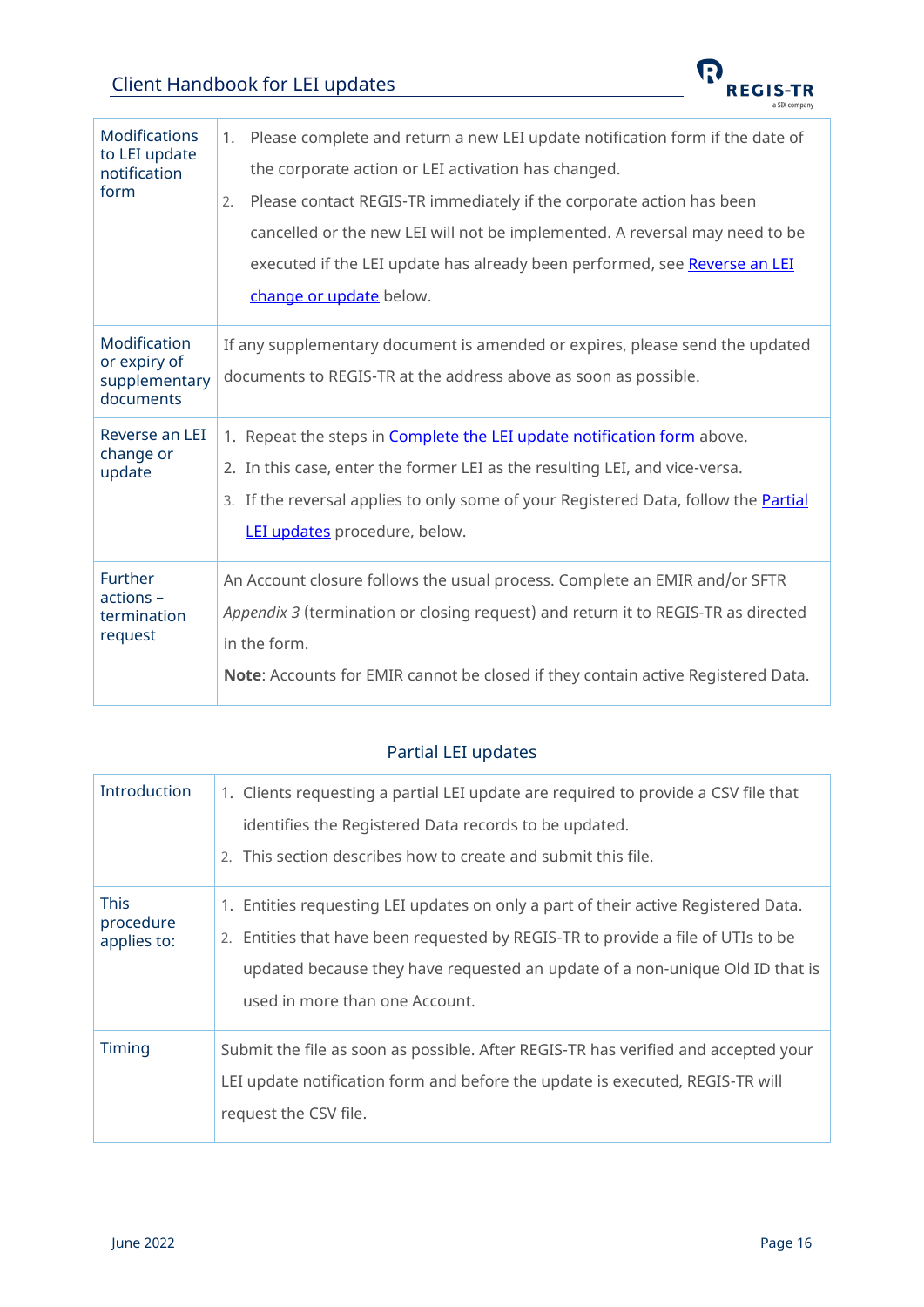

<span id="page-15-2"></span>

| <b>Modifications</b><br>to LEI update<br>notification<br>form | Please complete and return a new LEI update notification form if the date of<br>1.<br>the corporate action or LEI activation has changed.<br>Please contact REGIS-TR immediately if the corporate action has been<br>2.<br>cancelled or the new LEI will not be implemented. A reversal may need to be<br>executed if the LEI update has already been performed, see Reverse an LEI<br>change or update below. |
|---------------------------------------------------------------|----------------------------------------------------------------------------------------------------------------------------------------------------------------------------------------------------------------------------------------------------------------------------------------------------------------------------------------------------------------------------------------------------------------|
| Modification<br>or expiry of<br>supplementary<br>documents    | If any supplementary document is amended or expires, please send the updated<br>documents to REGIS-TR at the address above as soon as possible.                                                                                                                                                                                                                                                                |
| Reverse an LEI<br>change or<br>update                         | 1. Repeat the steps in Complete the LEI update notification form above.<br>2. In this case, enter the former LEI as the resulting LEI, and vice-versa.<br>3. If the reversal applies to only some of your Registered Data, follow the Partial<br>LEI updates procedure, below.                                                                                                                                 |
| <b>Further</b><br>actions -<br>termination<br>request         | An Account closure follows the usual process. Complete an EMIR and/or SFTR<br>Appendix 3 (termination or closing request) and return it to REGIS-TR as directed<br>in the form.<br>Note: Accounts for EMIR cannot be closed if they contain active Registered Data.                                                                                                                                            |

### Partial LEI updates

<span id="page-15-1"></span><span id="page-15-0"></span>

| Introduction                            | 1. Clients requesting a partial LEI update are required to provide a CSV file that<br>identifies the Registered Data records to be updated.<br>2. This section describes how to create and submit this file.                                                                             |
|-----------------------------------------|------------------------------------------------------------------------------------------------------------------------------------------------------------------------------------------------------------------------------------------------------------------------------------------|
| <b>This</b><br>procedure<br>applies to: | 1. Entities requesting LEI updates on only a part of their active Registered Data.<br>2. Entities that have been requested by REGIS-TR to provide a file of UTIs to be<br>updated because they have requested an update of a non-unique Old ID that is<br>used in more than one Account. |
| Timing                                  | Submit the file as soon as possible. After REGIS-TR has verified and accepted your<br>LEI update notification form and before the update is executed, REGIS-TR will<br>request the CSV file.                                                                                             |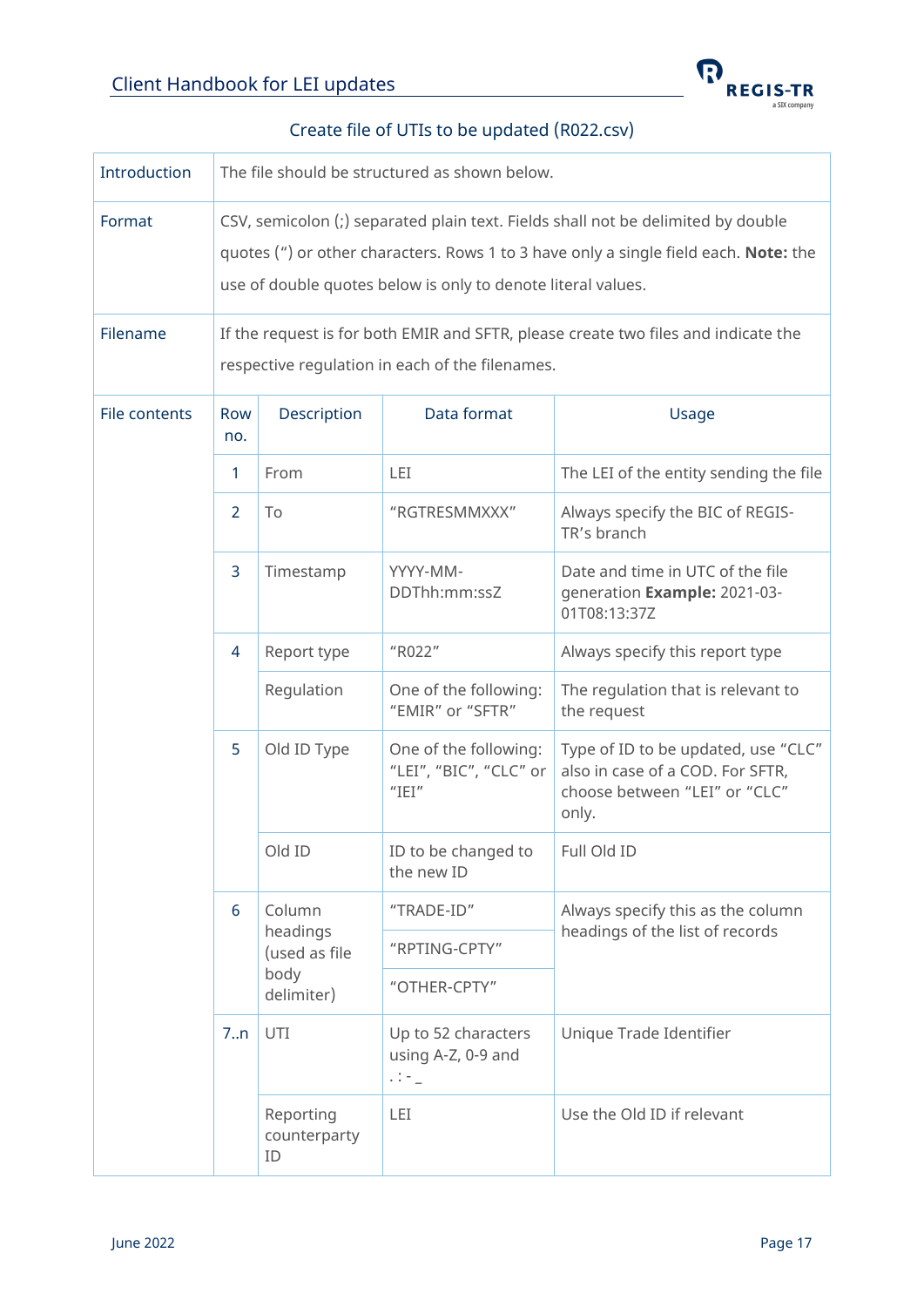

#### Create file of UTIs to be updated (R022.csv)

<span id="page-16-0"></span>

| Introduction       | The file should be structured as shown below.                                                                                                                                                                                                                                                                                  |                                                           |                                                          |                                                                                                                   |  |
|--------------------|--------------------------------------------------------------------------------------------------------------------------------------------------------------------------------------------------------------------------------------------------------------------------------------------------------------------------------|-----------------------------------------------------------|----------------------------------------------------------|-------------------------------------------------------------------------------------------------------------------|--|
| Format<br>Filename | CSV, semicolon (;) separated plain text. Fields shall not be delimited by double<br>quotes (") or other characters. Rows 1 to 3 have only a single field each. Note: the<br>use of double quotes below is only to denote literal values.<br>If the request is for both EMIR and SFTR, please create two files and indicate the |                                                           |                                                          |                                                                                                                   |  |
|                    |                                                                                                                                                                                                                                                                                                                                | respective regulation in each of the filenames.           |                                                          |                                                                                                                   |  |
| File contents      | Row<br>no.                                                                                                                                                                                                                                                                                                                     | Description                                               | Data format                                              | Usage                                                                                                             |  |
|                    | $\mathbf{1}$                                                                                                                                                                                                                                                                                                                   | From                                                      | LEI                                                      | The LEI of the entity sending the file                                                                            |  |
|                    | 2                                                                                                                                                                                                                                                                                                                              | To                                                        | "RGTRESMMXXX"                                            | Always specify the BIC of REGIS-<br>TR's branch                                                                   |  |
|                    | $\overline{3}$                                                                                                                                                                                                                                                                                                                 | Timestamp                                                 | YYYY-MM-<br>DDThh:mm:ssZ                                 | Date and time in UTC of the file<br>generation Example: 2021-03-<br>01T08:13:37Z                                  |  |
|                    | 4                                                                                                                                                                                                                                                                                                                              | Report type                                               | "R022"                                                   | Always specify this report type                                                                                   |  |
|                    |                                                                                                                                                                                                                                                                                                                                | Regulation                                                | One of the following:<br>"EMIR" or "SFTR"                | The regulation that is relevant to<br>the request                                                                 |  |
|                    | 5                                                                                                                                                                                                                                                                                                                              | Old ID Type                                               | One of the following:<br>"LEI", "BIC", "CLC" or<br>"IEI" | Type of ID to be updated, use "CLC"<br>also in case of a COD. For SFTR,<br>choose between "LEI" or "CLC"<br>only. |  |
|                    |                                                                                                                                                                                                                                                                                                                                | Old ID                                                    | ID to be changed to<br>the new ID                        | Full Old ID                                                                                                       |  |
|                    | 6                                                                                                                                                                                                                                                                                                                              | Column<br>headings<br>(used as file<br>body<br>delimiter) | "TRADE-ID"                                               | Always specify this as the column                                                                                 |  |
|                    |                                                                                                                                                                                                                                                                                                                                |                                                           | "RPTING-CPTY"                                            | headings of the list of records                                                                                   |  |
|                    |                                                                                                                                                                                                                                                                                                                                |                                                           | "OTHER-CPTY"                                             |                                                                                                                   |  |
|                    | 7.n                                                                                                                                                                                                                                                                                                                            | UTI                                                       | Up to 52 characters<br>using A-Z, 0-9 and<br>$11 - 1$    | Unique Trade Identifier                                                                                           |  |
|                    |                                                                                                                                                                                                                                                                                                                                | Reporting<br>counterparty<br>ID                           | LEI                                                      | Use the Old ID if relevant                                                                                        |  |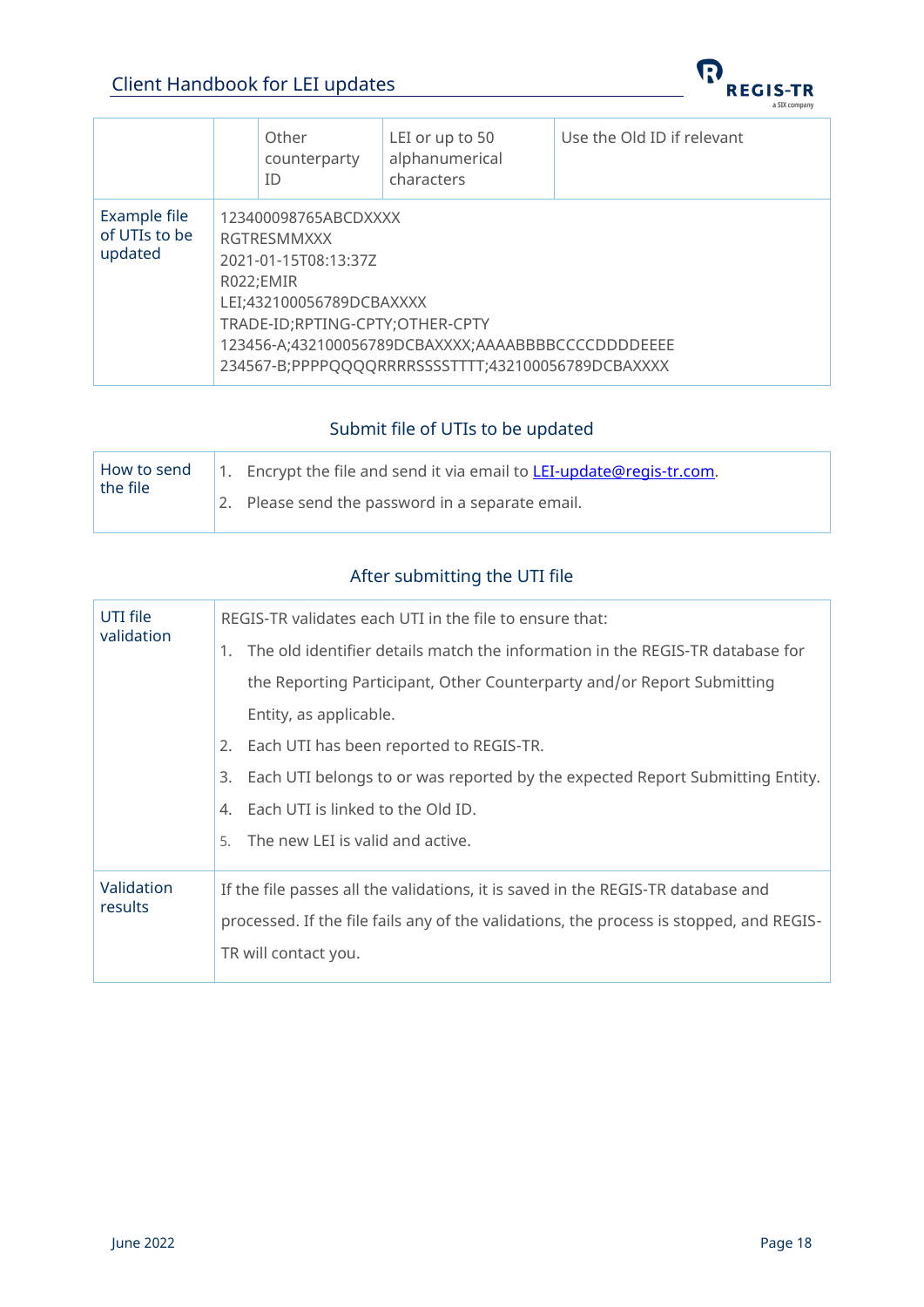

|                                          |                                                                                                                                                                                                                                                     | Other<br>counterparty<br>ID | LEI or up to 50<br>alphanumerical<br>characters | Use the Old ID if relevant |
|------------------------------------------|-----------------------------------------------------------------------------------------------------------------------------------------------------------------------------------------------------------------------------------------------------|-----------------------------|-------------------------------------------------|----------------------------|
| Example file<br>of UTIs to be<br>updated | 123400098765ABCDXXXX<br>RGTRESMMXXX<br>2021-01-15T08:13:37Z<br>R022;EMIR<br>LEI;432100056789DCBAXXXX<br>TRADE-ID;RPTING-CPTY;OTHER-CPTY<br>123456-A;432100056789DCBAXXXX;AAAABBBBCCCCDDDDEEEE<br>234567-B;PPPPQQQQRRRRSSSSTTTT;432100056789DCBAXXXX |                             |                                                 |                            |

### Submit file of UTIs to be updated

<span id="page-17-0"></span>

| the file | How to send   1. Encrypt the file and send it via email to <b>LEI-update@regis-tr.com.</b> |
|----------|--------------------------------------------------------------------------------------------|
|          | 2. Please send the password in a separate email.                                           |

### After submitting the UTI file

<span id="page-17-1"></span>

| UTI file<br>validation | REGIS-TR validates each UTI in the file to ensure that:                                 |  |  |  |
|------------------------|-----------------------------------------------------------------------------------------|--|--|--|
|                        | 1. The old identifier details match the information in the REGIS-TR database for        |  |  |  |
|                        | the Reporting Participant, Other Counterparty and/or Report Submitting                  |  |  |  |
|                        | Entity, as applicable.                                                                  |  |  |  |
|                        | 2. Each UTI has been reported to REGIS-TR.                                              |  |  |  |
|                        | 3. Each UTI belongs to or was reported by the expected Report Submitting Entity.        |  |  |  |
|                        | 4. Each UTI is linked to the Old ID.                                                    |  |  |  |
|                        | 5. The new LEI is valid and active.                                                     |  |  |  |
| Validation<br>results  | If the file passes all the validations, it is saved in the REGIS-TR database and        |  |  |  |
|                        | processed. If the file fails any of the validations, the process is stopped, and REGIS- |  |  |  |
|                        | TR will contact you.                                                                    |  |  |  |
|                        |                                                                                         |  |  |  |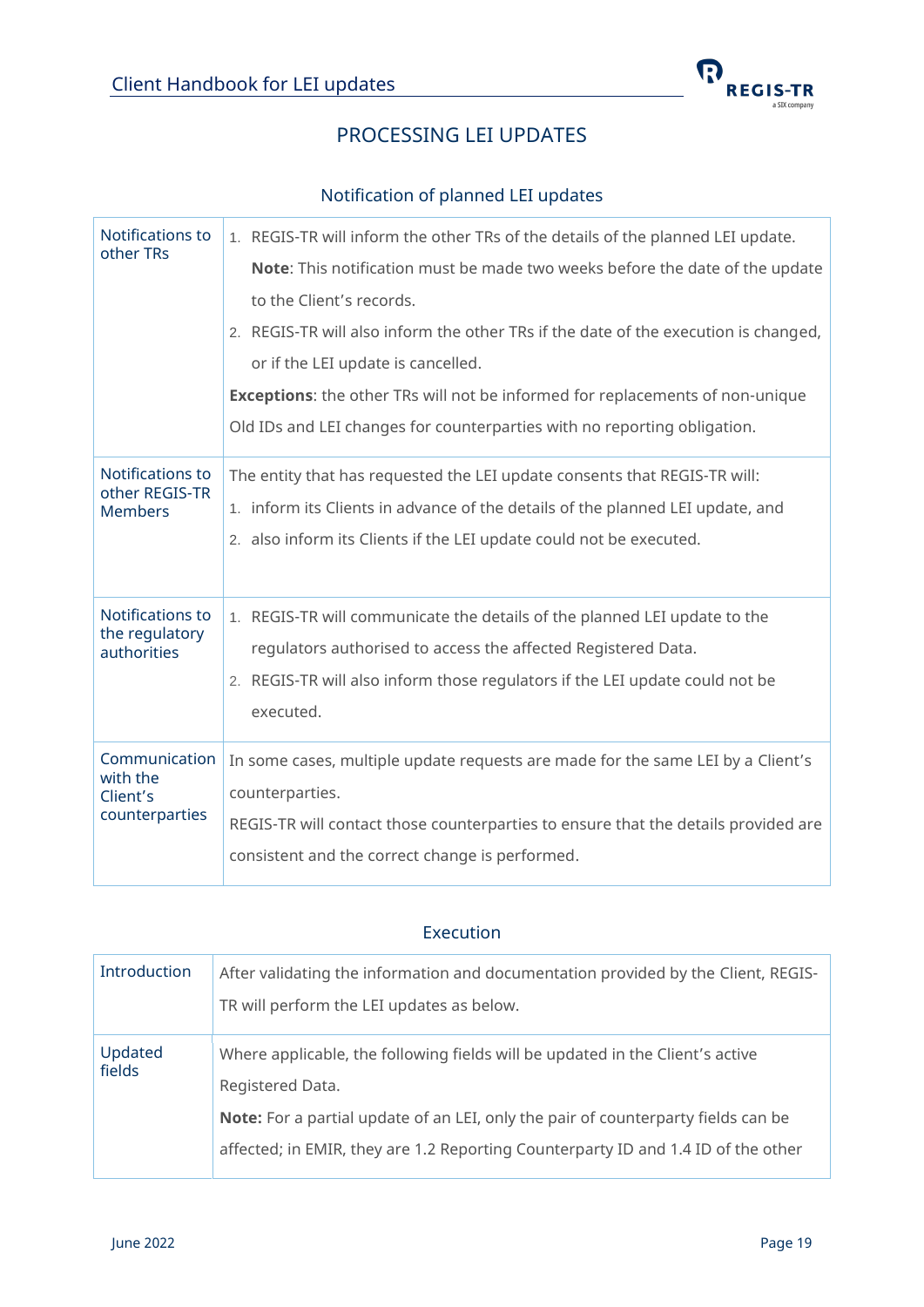

### PROCESSING LEI UPDATES

#### Notification of planned LEI updates

<span id="page-18-1"></span><span id="page-18-0"></span>

| Notifications to<br>other TRs      | 1. REGIS-TR will inform the other TRs of the details of the planned LEI update.      |
|------------------------------------|--------------------------------------------------------------------------------------|
|                                    | Note: This notification must be made two weeks before the date of the update         |
|                                    | to the Client's records.                                                             |
|                                    | 2. REGIS-TR will also inform the other TRs if the date of the execution is changed,  |
|                                    | or if the LEI update is cancelled.                                                   |
|                                    | <b>Exceptions:</b> the other TRs will not be informed for replacements of non-unique |
|                                    | Old IDs and LEI changes for counterparties with no reporting obligation.             |
| Notifications to<br>other REGIS-TR | The entity that has requested the LEI update consents that REGIS-TR will:            |
| <b>Members</b>                     | 1. inform its Clients in advance of the details of the planned LEI update, and       |
|                                    | 2. also inform its Clients if the LEI update could not be executed.                  |
| Notifications to<br>the regulatory | 1. REGIS-TR will communicate the details of the planned LEI update to the            |
| authorities                        | regulators authorised to access the affected Registered Data.                        |
|                                    | 2. REGIS-TR will also inform those regulators if the LEI update could not be         |
|                                    | executed.                                                                            |
| Communication<br>with the          | In some cases, multiple update requests are made for the same LEI by a Client's      |
| Client's                           | counterparties.                                                                      |
| counterparties                     | REGIS-TR will contact those counterparties to ensure that the details provided are   |
|                                    | consistent and the correct change is performed.                                      |

#### Execution

<span id="page-18-2"></span>

| Introduction      | After validating the information and documentation provided by the Client, REGIS-<br>TR will perform the LEI updates as below. |
|-------------------|--------------------------------------------------------------------------------------------------------------------------------|
| Updated<br>fields | Where applicable, the following fields will be updated in the Client's active<br>Registered Data.                              |
|                   | Note: For a partial update of an LEI, only the pair of counterparty fields can be                                              |
|                   | affected; in EMIR, they are 1.2 Reporting Counterparty ID and 1.4 ID of the other                                              |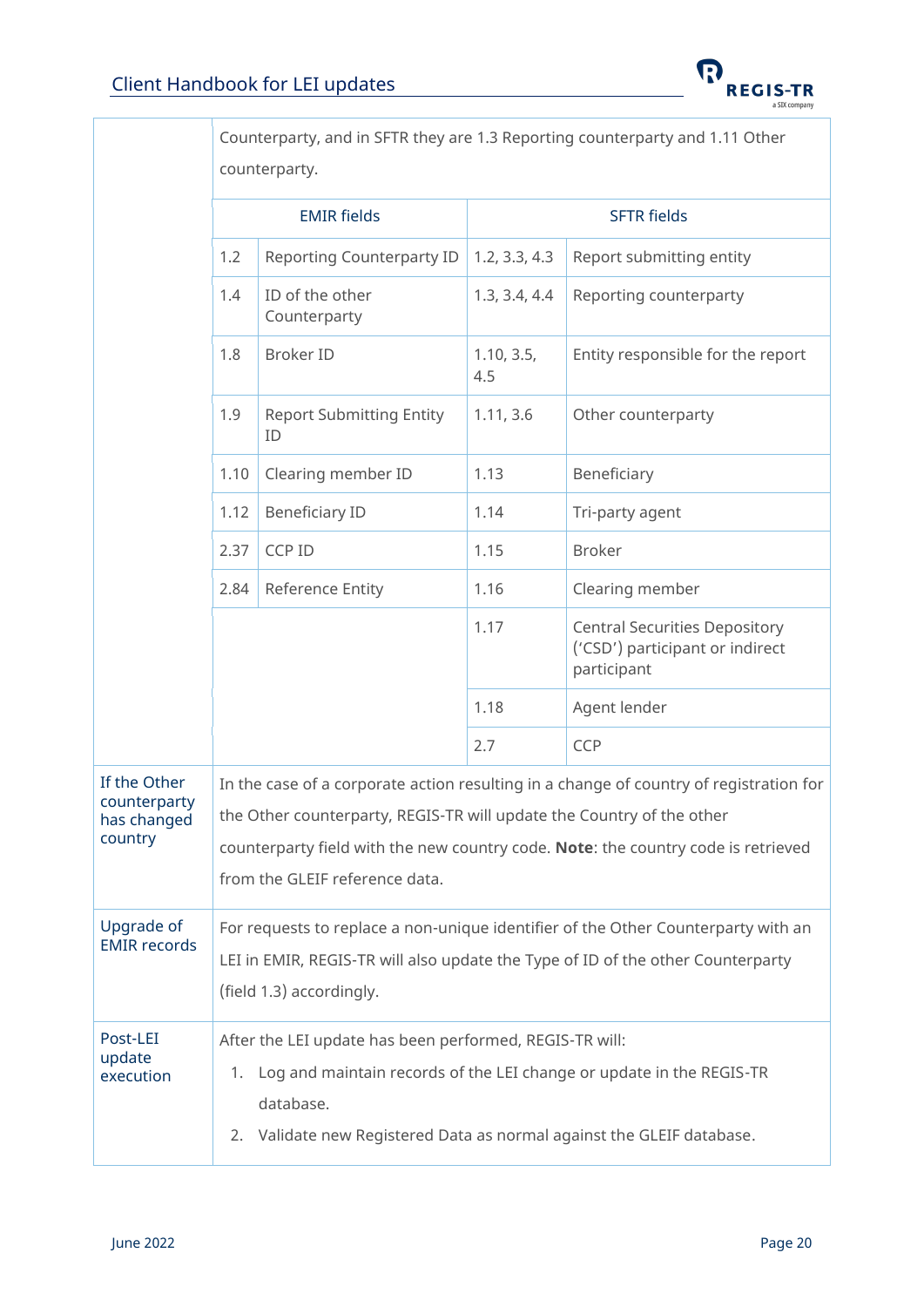τ

Г



J.

|                                                        | Counterparty, and in SFTR they are 1.3 Reporting counterparty and 1.11 Other                                                                                                                                                                                                           |                                                                                                                                                                                                                       |                    |                                                                                                                                                                      |  |
|--------------------------------------------------------|----------------------------------------------------------------------------------------------------------------------------------------------------------------------------------------------------------------------------------------------------------------------------------------|-----------------------------------------------------------------------------------------------------------------------------------------------------------------------------------------------------------------------|--------------------|----------------------------------------------------------------------------------------------------------------------------------------------------------------------|--|
|                                                        |                                                                                                                                                                                                                                                                                        | counterparty.                                                                                                                                                                                                         |                    |                                                                                                                                                                      |  |
|                                                        | <b>EMIR fields</b>                                                                                                                                                                                                                                                                     |                                                                                                                                                                                                                       | <b>SFTR fields</b> |                                                                                                                                                                      |  |
|                                                        | 1.2                                                                                                                                                                                                                                                                                    | <b>Reporting Counterparty ID</b>                                                                                                                                                                                      | 1.2, 3.3, 4.3      | Report submitting entity                                                                                                                                             |  |
|                                                        | 1.4                                                                                                                                                                                                                                                                                    | ID of the other<br>Counterparty                                                                                                                                                                                       | 1.3, 3.4, 4.4      | Reporting counterparty                                                                                                                                               |  |
|                                                        | 1.8                                                                                                                                                                                                                                                                                    | <b>Broker ID</b>                                                                                                                                                                                                      | 1.10, 3.5,<br>4.5  | Entity responsible for the report                                                                                                                                    |  |
|                                                        | 1.9                                                                                                                                                                                                                                                                                    | <b>Report Submitting Entity</b><br>ID                                                                                                                                                                                 | 1.11, 3.6          | Other counterparty                                                                                                                                                   |  |
|                                                        | 1.10                                                                                                                                                                                                                                                                                   | Clearing member ID                                                                                                                                                                                                    | 1.13               | Beneficiary                                                                                                                                                          |  |
|                                                        | 1.12                                                                                                                                                                                                                                                                                   | <b>Beneficiary ID</b>                                                                                                                                                                                                 | 1.14               | Tri-party agent                                                                                                                                                      |  |
|                                                        | 2.37                                                                                                                                                                                                                                                                                   | CCP ID                                                                                                                                                                                                                | 1.15               | <b>Broker</b>                                                                                                                                                        |  |
|                                                        | 2.84                                                                                                                                                                                                                                                                                   | Reference Entity                                                                                                                                                                                                      | 1.16               | Clearing member                                                                                                                                                      |  |
|                                                        |                                                                                                                                                                                                                                                                                        |                                                                                                                                                                                                                       | 1.17               | <b>Central Securities Depository</b><br>('CSD') participant or indirect<br>participant                                                                               |  |
|                                                        |                                                                                                                                                                                                                                                                                        |                                                                                                                                                                                                                       | 1.18               | Agent lender                                                                                                                                                         |  |
|                                                        |                                                                                                                                                                                                                                                                                        |                                                                                                                                                                                                                       | 2.7                | <b>CCP</b>                                                                                                                                                           |  |
| If the Other<br>counterparty<br>has changed<br>country | In the case of a corporate action resulting in a change of country of registration for<br>the Other counterparty, REGIS-TR will update the Country of the other<br>counterparty field with the new country code. Note: the country code is retrieved<br>from the GLEIF reference data. |                                                                                                                                                                                                                       |                    |                                                                                                                                                                      |  |
| Upgrade of<br><b>EMIR</b> records                      |                                                                                                                                                                                                                                                                                        | (field 1.3) accordingly.                                                                                                                                                                                              |                    | For requests to replace a non-unique identifier of the Other Counterparty with an<br>LEI in EMIR, REGIS-TR will also update the Type of ID of the other Counterparty |  |
| Post-LEI<br>update<br>execution                        | 2.                                                                                                                                                                                                                                                                                     | After the LEI update has been performed, REGIS-TR will:<br>1. Log and maintain records of the LEI change or update in the REGIS-TR<br>database.<br>Validate new Registered Data as normal against the GLEIF database. |                    |                                                                                                                                                                      |  |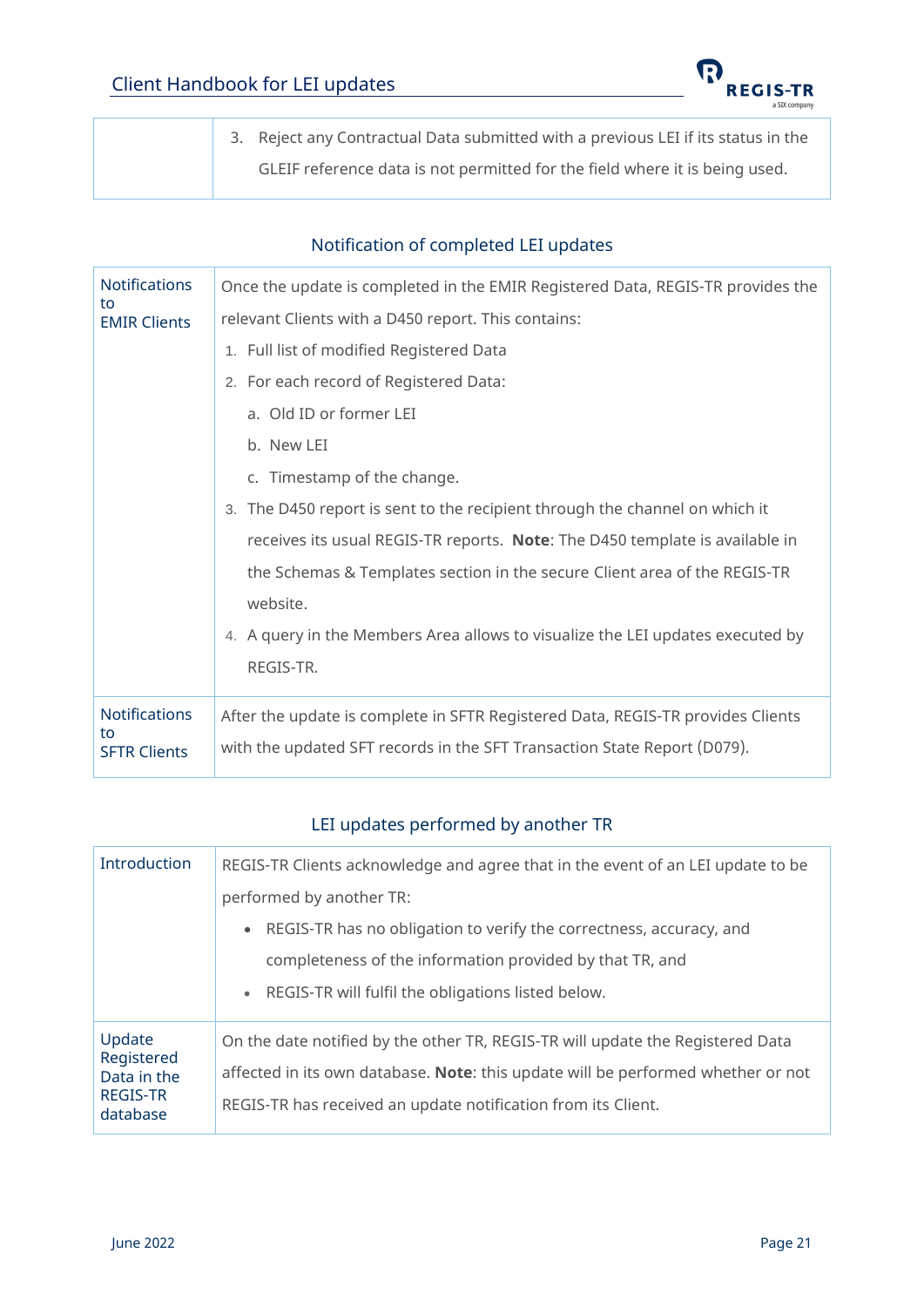

3. Reject any Contractual Data submitted with a previous LEI if its status in the GLEIF reference data is not permitted for the field where it is being used.

#### Notification of completed LEI updates

<span id="page-20-0"></span>

| <b>Notifications</b><br>to | Once the update is completed in the EMIR Registered Data, REGIS-TR provides the |  |  |  |  |
|----------------------------|---------------------------------------------------------------------------------|--|--|--|--|
| <b>EMIR Clients</b>        | relevant Clients with a D450 report. This contains:                             |  |  |  |  |
|                            | 1. Full list of modified Registered Data                                        |  |  |  |  |
|                            | 2. For each record of Registered Data:                                          |  |  |  |  |
|                            | a. Old ID or former LEI                                                         |  |  |  |  |
|                            | b. New LEI                                                                      |  |  |  |  |
|                            | c. Timestamp of the change.                                                     |  |  |  |  |
|                            | 3. The D450 report is sent to the recipient through the channel on which it     |  |  |  |  |
|                            | receives its usual REGIS-TR reports. Note: The D450 template is available in    |  |  |  |  |
|                            | the Schemas & Templates section in the secure Client area of the REGIS-TR       |  |  |  |  |
|                            | website.                                                                        |  |  |  |  |
|                            | 4. A query in the Members Area allows to visualize the LEI updates executed by  |  |  |  |  |
|                            | REGIS-TR.                                                                       |  |  |  |  |
| <b>Notifications</b>       | After the update is complete in SFTR Registered Data, REGIS-TR provides Clients |  |  |  |  |
| to<br><b>SFTR Clients</b>  | with the updated SFT records in the SFT Transaction State Report (D079).        |  |  |  |  |

#### LEI updates performed by another TR

<span id="page-20-1"></span>

| Introduction                                                       | REGIS-TR Clients acknowledge and agree that in the event of an LEI update to be  |
|--------------------------------------------------------------------|----------------------------------------------------------------------------------|
|                                                                    | performed by another TR:                                                         |
|                                                                    | • REGIS-TR has no obligation to verify the correctness, accuracy, and            |
|                                                                    | completeness of the information provided by that TR, and                         |
|                                                                    | • REGIS-TR will fulfil the obligations listed below.                             |
| Update<br>Registered<br>Data in the<br><b>REGIS-TR</b><br>database | On the date notified by the other TR, REGIS-TR will update the Registered Data   |
|                                                                    | affected in its own database. Note: this update will be performed whether or not |
|                                                                    | REGIS-TR has received an update notification from its Client.                    |